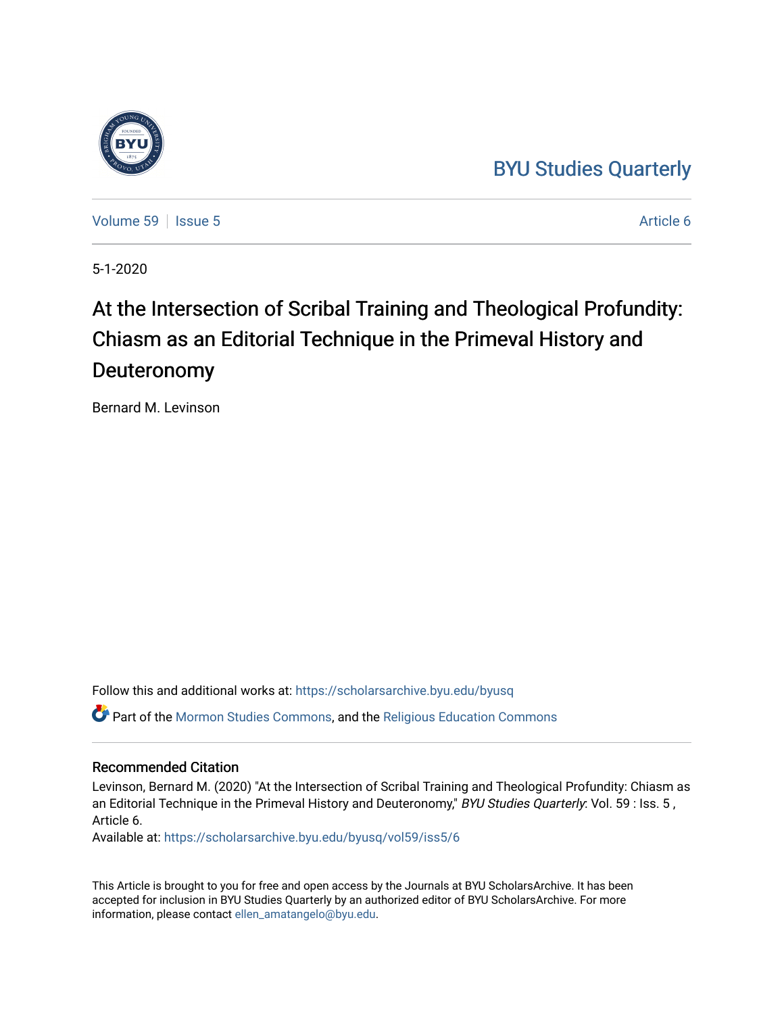### [BYU Studies Quarterly](https://scholarsarchive.byu.edu/byusq)

[Volume 59](https://scholarsarchive.byu.edu/byusq/vol59) | [Issue 5](https://scholarsarchive.byu.edu/byusq/vol59/iss5) Article 6

5-1-2020

# At the Intersection of Scribal Training and Theological Profundity: Chiasm as an Editorial Technique in the Primeval History and Deuteronomy

Bernard M. Levinson

Follow this and additional works at: [https://scholarsarchive.byu.edu/byusq](https://scholarsarchive.byu.edu/byusq?utm_source=scholarsarchive.byu.edu%2Fbyusq%2Fvol59%2Fiss5%2F6&utm_medium=PDF&utm_campaign=PDFCoverPages) 

Part of the [Mormon Studies Commons](http://network.bepress.com/hgg/discipline/1360?utm_source=scholarsarchive.byu.edu%2Fbyusq%2Fvol59%2Fiss5%2F6&utm_medium=PDF&utm_campaign=PDFCoverPages), and the [Religious Education Commons](http://network.bepress.com/hgg/discipline/1414?utm_source=scholarsarchive.byu.edu%2Fbyusq%2Fvol59%2Fiss5%2F6&utm_medium=PDF&utm_campaign=PDFCoverPages) 

#### Recommended Citation

Levinson, Bernard M. (2020) "At the Intersection of Scribal Training and Theological Profundity: Chiasm as an Editorial Technique in the Primeval History and Deuteronomy," BYU Studies Quarterly: Vol. 59 : Iss. 5, Article 6.

Available at: [https://scholarsarchive.byu.edu/byusq/vol59/iss5/6](https://scholarsarchive.byu.edu/byusq/vol59/iss5/6?utm_source=scholarsarchive.byu.edu%2Fbyusq%2Fvol59%2Fiss5%2F6&utm_medium=PDF&utm_campaign=PDFCoverPages)

This Article is brought to you for free and open access by the Journals at BYU ScholarsArchive. It has been accepted for inclusion in BYU Studies Quarterly by an authorized editor of BYU ScholarsArchive. For more information, please contact [ellen\\_amatangelo@byu.edu.](mailto:ellen_amatangelo@byu.edu)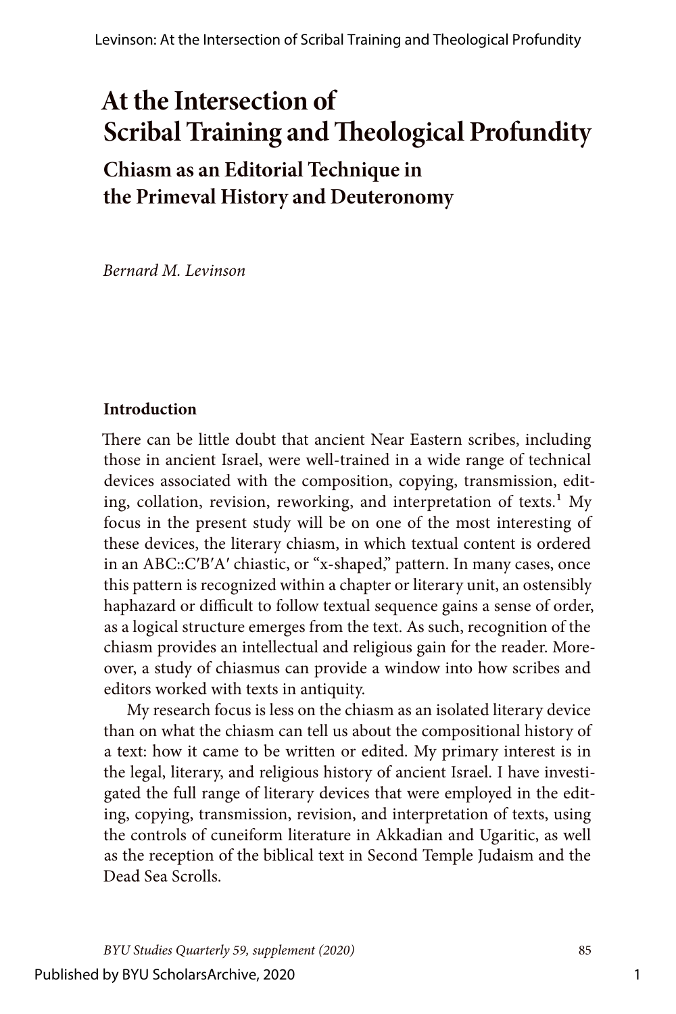## **At the Intersection of Scribal Training and Theological Profundity**

### **Chiasm as an Editorial Technique in the Primeval History and Deuteronomy**

*Bernard M. Levinson*

#### **Introduction**

There can be little doubt that ancient Near Eastern scribes, including those in ancient Israel, were well-trained in a wide range of technical devices associated with the composition, copying, transmission, editing, collation, revision, reworking, and interpretation of texts.<sup>1</sup> My focus in the present study will be on one of the most interesting of these devices, the literary chiasm, in which textual content is ordered in an ABC::CʹBʹAʹ chiastic, or "x-shaped," pattern. In many cases, once this pattern is recognized within a chapter or literary unit, an ostensibly haphazard or difficult to follow textual sequence gains a sense of order, as a logical structure emerges from the text. As such, recognition of the chiasm provides an intellectual and religious gain for the reader. Moreover, a study of chiasmus can provide a window into how scribes and editors worked with texts in antiquity.

My research focus is less on the chiasm as an isolated literary device than on what the chiasm can tell us about the compositional history of a text: how it came to be written or edited. My primary interest is in the legal, literary, and religious history of ancient Israel. I have investigated the full range of literary devices that were employed in the editing, copying, transmission, revision, and interpretation of texts, using the controls of cuneiform literature in Akkadian and Ugaritic, as well as the reception of the biblical text in Second Temple Judaism and the Dead Sea Scrolls.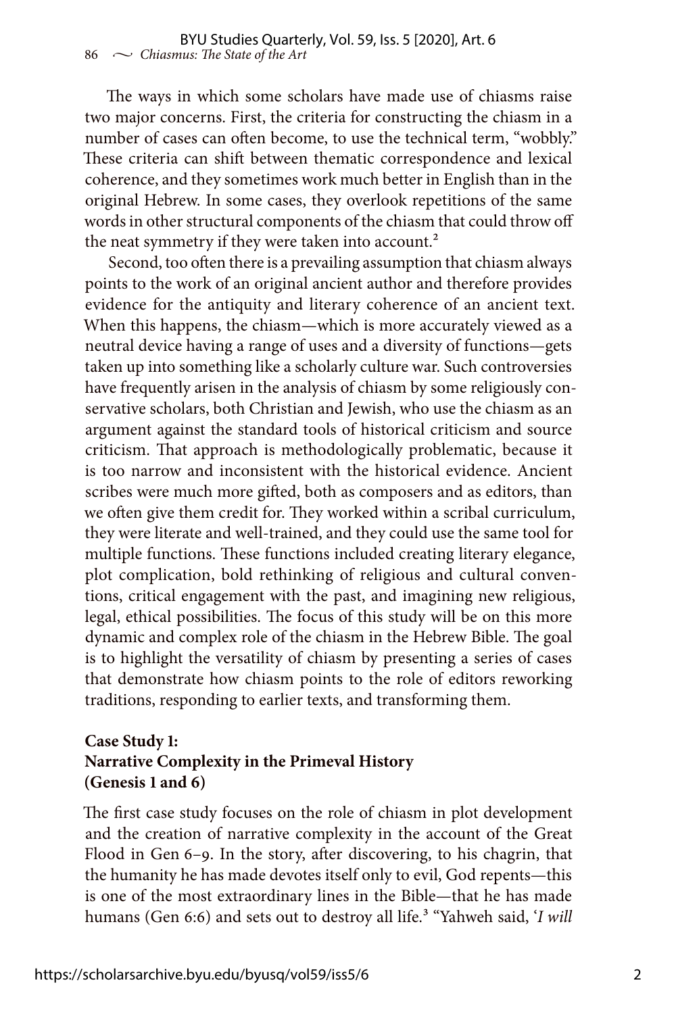The ways in which some scholars have made use of chiasms raise two major concerns. First, the criteria for constructing the chiasm in a number of cases can often become, to use the technical term, "wobbly." These criteria can shift between thematic correspondence and lexical coherence, and they sometimes work much better in English than in the original Hebrew. In some cases, they overlook repetitions of the same words in other structural components of the chiasm that could throw off the neat symmetry if they were taken into account.<sup>2</sup>

Second, too often there is a prevailing assumption that chiasm always points to the work of an original ancient author and therefore provides evidence for the antiquity and literary coherence of an ancient text. When this happens, the chiasm—which is more accurately viewed as a neutral device having a range of uses and a diversity of functions—gets taken up into something like a scholarly culture war. Such controversies have frequently arisen in the analysis of chiasm by some religiously conservative scholars, both Christian and Jewish, who use the chiasm as an argument against the standard tools of historical criticism and source criticism. That approach is methodologically problematic, because it is too narrow and inconsistent with the historical evidence. Ancient scribes were much more gifted, both as composers and as editors, than we often give them credit for. They worked within a scribal curriculum, they were literate and well-trained, and they could use the same tool for multiple functions. These functions included creating literary elegance, plot complication, bold rethinking of religious and cultural conventions, critical engagement with the past, and imagining new religious, legal, ethical possibilities. The focus of this study will be on this more dynamic and complex role of the chiasm in the Hebrew Bible. The goal is to highlight the versatility of chiasm by presenting a series of cases that demonstrate how chiasm points to the role of editors reworking traditions, responding to earlier texts, and transforming them.

#### **Case Study 1: Narrative Complexity in the Primeval History (Genesis 1 and 6)**

The first case study focuses on the role of chiasm in plot development and the creation of narrative complexity in the account of the Great Flood in Gen 6–9. In the story, after discovering, to his chagrin, that the humanity he has made devotes itself only to evil, God repents—this is one of the most extraordinary lines in the Bible—that he has made humans (Gen 6:6) and sets out to destroy all life.<sup>3</sup> "Yahweh said, '*I will*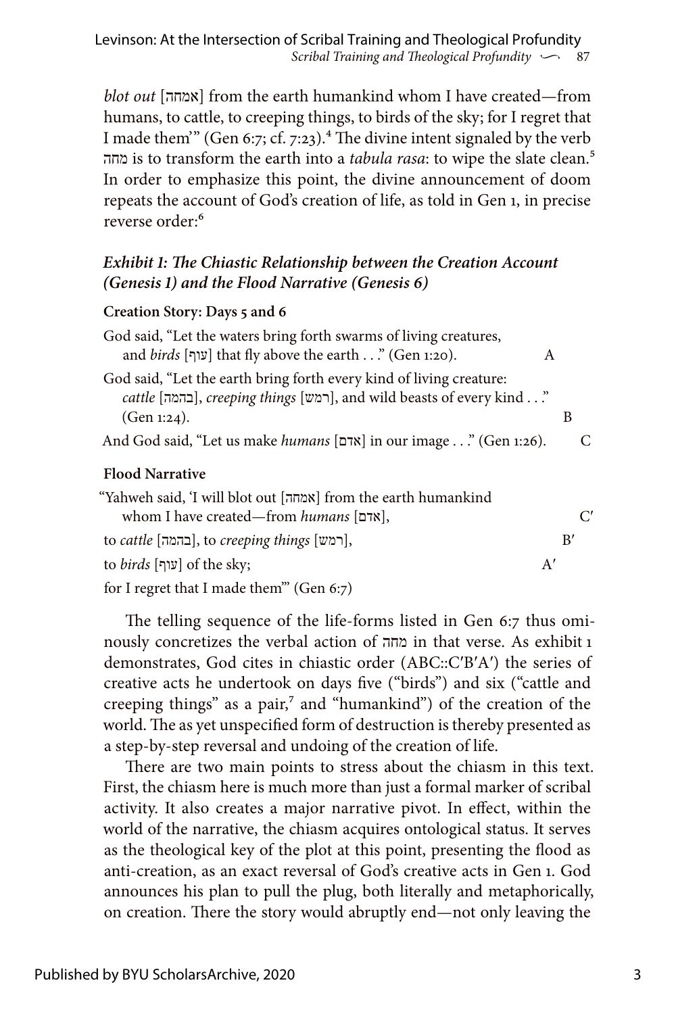*blot out* [אמחה [from the earth humankind whom I have created—from humans, to cattle, to creeping things, to birds of the sky; for I regret that I made them'" (Gen 6:7; cf. 7:23).<sup>4</sup> The divine intent signaled by the verb מחה is to transform the earth into a *tabula rasa*: to wipe the slate clean.5 In order to emphasize this point, the divine announcement of doom repeats the account of God's creation of life, as told in Gen 1, in precise reverse order:<sup>6</sup>

#### *Exhibit 1: The Chiastic Relationship between the Creation Account (Genesis 1) and the Flood Narrative (Genesis 6)*

#### **Creation Story: Days 5 and 6**

| God said, "Let the waters bring forth swarms of living creatures,<br>and birds [עוף] that fly above the earth" (Gen 1:20).                                  | A  |
|-------------------------------------------------------------------------------------------------------------------------------------------------------------|----|
| God said, "Let the earth bring forth every kind of living creature:<br>cattle [ההמה], creeping things [רמש], and wild beasts of every kind "<br>(Gen 1:24). | B  |
| And God said, "Let us make humans [אדם] in our image " (Gen 1:26).                                                                                          | C  |
| <b>Flood Narrative</b>                                                                                                                                      |    |
| "Yahweh said, 'I will blot out [אמחה] from the earth humankind<br>whom I have created—from <i>humans</i> [אדם],                                             |    |
| to cattle [רמש], to creeping things [רמש],                                                                                                                  | B' |
| to <i>birds</i> [עוף] of the sky;                                                                                                                           | A' |
| for I regret that I made them" (Gen 6:7)                                                                                                                    |    |

The telling sequence of the life-forms listed in Gen 6:7 thus ominously concretizes the verbal action of מחה in that verse. As exhibit 1 demonstrates, God cites in chiastic order (ABC::C′B′A′) the series of creative acts he undertook on days five ("birds") and six ("cattle and creeping things" as a pair,<sup>7</sup> and "humankind") of the creation of the world. The as yet unspecified form of destruction is thereby presented as a step-by-step reversal and undoing of the creation of life.

There are two main points to stress about the chiasm in this text. First, the chiasm here is much more than just a formal marker of scribal activity. It also creates a major narrative pivot. In effect, within the world of the narrative, the chiasm acquires ontological status. It serves as the theological key of the plot at this point, presenting the flood as anti-creation, as an exact reversal of God's creative acts in Gen 1. God announces his plan to pull the plug, both literally and metaphorically, on creation. There the story would abruptly end—not only leaving the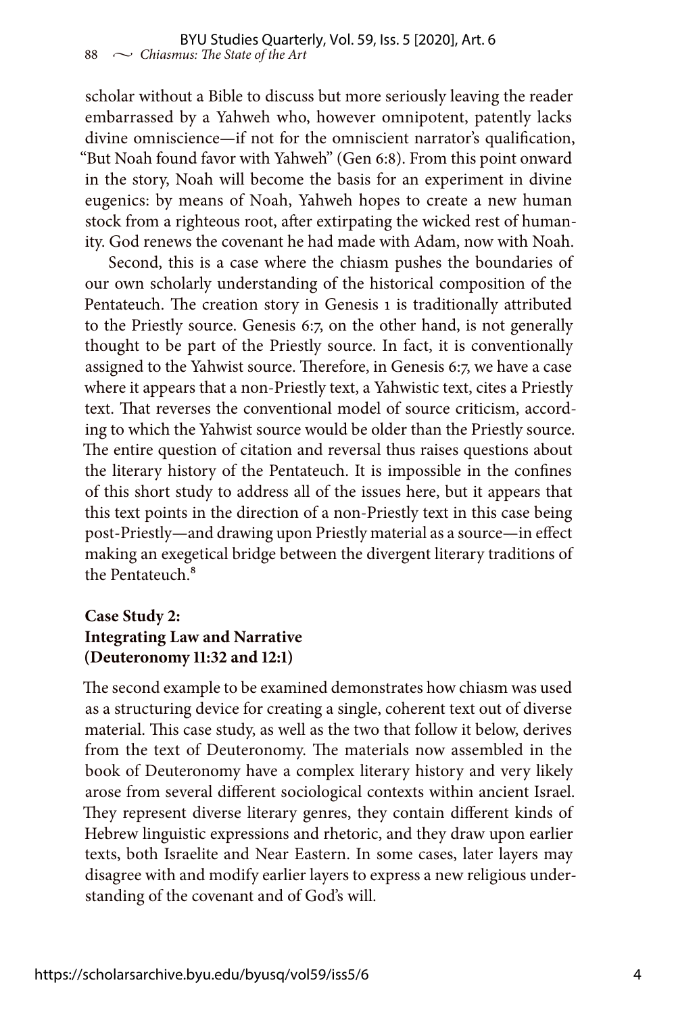scholar without a Bible to discuss but more seriously leaving the reader embarrassed by a Yahweh who, however omnipotent, patently lacks divine omniscience—if not for the omniscient narrator's qualification, "But Noah found favor with Yahweh" (Gen 6:8). From this point onward in the story, Noah will become the basis for an experiment in divine eugenics: by means of Noah, Yahweh hopes to create a new human stock from a righteous root, after extirpating the wicked rest of humanity. God renews the covenant he had made with Adam, now with Noah.

Second, this is a case where the chiasm pushes the boundaries of our own scholarly understanding of the historical composition of the Pentateuch. The creation story in Genesis 1 is traditionally attributed to the Priestly source. Genesis 6:7, on the other hand, is not generally thought to be part of the Priestly source. In fact, it is conventionally assigned to the Yahwist source. Therefore, in Genesis 6:7, we have a case where it appears that a non-Priestly text, a Yahwistic text, cites a Priestly text. That reverses the conventional model of source criticism, according to which the Yahwist source would be older than the Priestly source. The entire question of citation and reversal thus raises questions about the literary history of the Pentateuch. It is impossible in the confines of this short study to address all of the issues here, but it appears that this text points in the direction of a non-Priestly text in this case being post-Priestly—and drawing upon Priestly material as a source—in effect making an exegetical bridge between the divergent literary traditions of the Pentateuch.<sup>8</sup>

#### **Case Study 2: Integrating Law and Narrative (Deuteronomy 11:32 and 12:1)**

The second example to be examined demonstrates how chiasm was used as a structuring device for creating a single, coherent text out of diverse material. This case study, as well as the two that follow it below, derives from the text of Deuteronomy. The materials now assembled in the book of Deuteronomy have a complex literary history and very likely arose from several different sociological contexts within ancient Israel. They represent diverse literary genres, they contain different kinds of Hebrew linguistic expressions and rhetoric, and they draw upon earlier texts, both Israelite and Near Eastern. In some cases, later layers may disagree with and modify earlier layers to express a new religious understanding of the covenant and of God's will.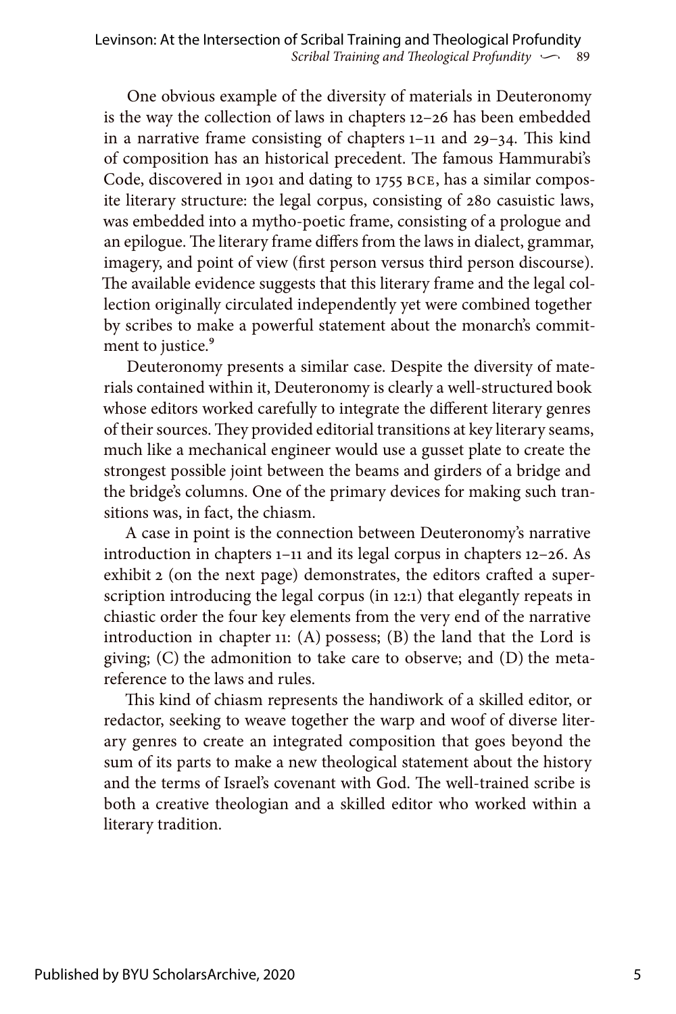One obvious example of the diversity of materials in Deuteronomy is the way the collection of laws in chapters 12–26 has been embedded in a narrative frame consisting of chapters 1–11 and 29–34. This kind of composition has an historical precedent. The famous Hammurabi's Code, discovered in 1901 and dating to 1755 BCE, has a similar composite literary structure: the legal corpus, consisting of 280 casuistic laws, was embedded into a mytho-poetic frame, consisting of a prologue and an epilogue. The literary frame differs from the laws in dialect, grammar, imagery, and point of view (first person versus third person discourse). The available evidence suggests that this literary frame and the legal collection originally circulated independently yet were combined together by scribes to make a powerful statement about the monarch's commitment to justice.<sup>9</sup>

Deuteronomy presents a similar case. Despite the diversity of materials contained within it, Deuteronomy is clearly a well-structured book whose editors worked carefully to integrate the different literary genres of their sources. They provided editorial transitions at key literary seams, much like a mechanical engineer would use a gusset plate to create the strongest possible joint between the beams and girders of a bridge and the bridge's columns. One of the primary devices for making such transitions was, in fact, the chiasm.

A case in point is the connection between Deuteronomy's narrative introduction in chapters 1–11 and its legal corpus in chapters 12–26. As exhibit 2 (on the next page) demonstrates, the editors crafted a superscription introducing the legal corpus (in 12:1) that elegantly repeats in chiastic order the four key elements from the very end of the narrative introduction in chapter 11: (A) possess; (B) the land that the Lord is giving; (C) the admonition to take care to observe; and (D) the metareference to the laws and rules.

This kind of chiasm represents the handiwork of a skilled editor, or redactor, seeking to weave together the warp and woof of diverse literary genres to create an integrated composition that goes beyond the sum of its parts to make a new theological statement about the history and the terms of Israel's covenant with God. The well-trained scribe is both a creative theologian and a skilled editor who worked within a literary tradition.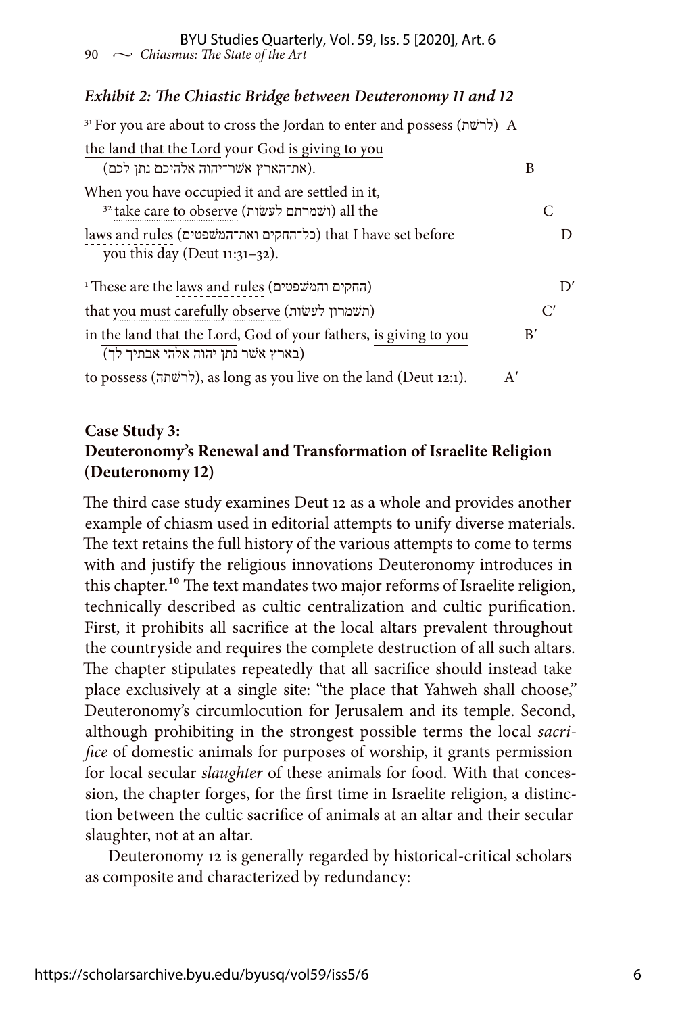#### *Exhibit 2: The Chiastic Bridge between Deuteronomy 11 and 12*

| <sup>31</sup> For you are about to cross the Jordan to enter and possess (לרשׁת) A                    |    |
|-------------------------------------------------------------------------------------------------------|----|
| the land that the Lord your God is giving to you<br>(את־הארץ אשׁר־יהוה אלהיכם נתן לכם).               | B  |
| When you have occupied it and are settled in it,<br>32 take care to observe (ושמרתם לעשות) all the    | C  |
| laws and rules (כל־החקים ואת־המשפטים) that I have set before<br>you this day (Deut $11:31-32$ ).      | Ð  |
| <sup>1</sup> These are the laws and rules (החקים והמשפטים)                                            | D' |
| that you must carefully observe (תשמרון לעשות)                                                        | C' |
| in the land that the Lord, God of your fathers, is giving to you<br>(בארץ אשר נתן יהוה אלהי אבתיך לך) | B' |
| to possess (לרשׁתה), as long as you live on the land (Deut 12:1).<br>A'                               |    |

#### **Case Study 3: Deuteronomy's Renewal and Transformation of Israelite Religion (Deuteronomy 12)**

The third case study examines Deut 12 as a whole and provides another example of chiasm used in editorial attempts to unify diverse materials. The text retains the full history of the various attempts to come to terms with and justify the religious innovations Deuteronomy introduces in this chapter.<sup>10</sup> The text mandates two major reforms of Israelite religion, technically described as cultic centralization and cultic purification. First, it prohibits all sacrifice at the local altars prevalent throughout the countryside and requires the complete destruction of all such altars. The chapter stipulates repeatedly that all sacrifice should instead take place exclusively at a single site: "the place that Yahweh shall choose," Deuteronomy's circumlocution for Jerusalem and its temple. Second, although prohibiting in the strongest possible terms the local *sacrifice* of domestic animals for purposes of worship, it grants permission for local secular *slaughter* of these animals for food. With that concession, the chapter forges, for the first time in Israelite religion, a distinction between the cultic sacrifice of animals at an altar and their secular slaughter, not at an altar.

Deuteronomy 12 is generally regarded by historical-critical scholars as composite and characterized by redundancy: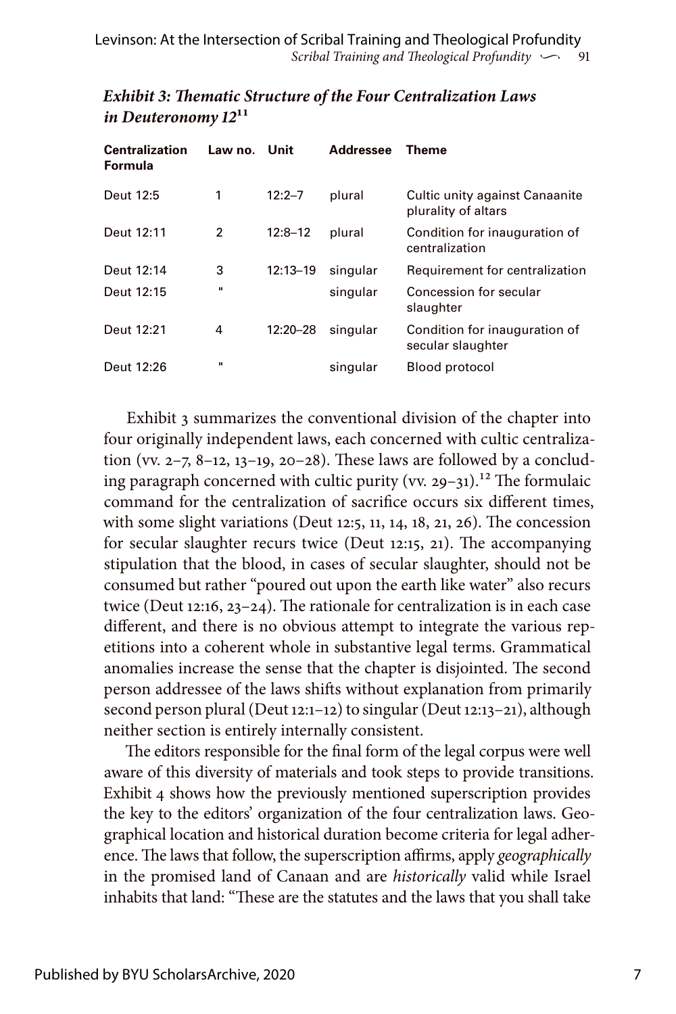| <b>Centralization</b><br>Formula | Law no. | Unit         | <b>Addressee</b> | <b>Theme</b>                                          |
|----------------------------------|---------|--------------|------------------|-------------------------------------------------------|
| Deut 12:5                        | 1       | $12:2 - 7$   | plural           | Cultic unity against Canaanite<br>plurality of altars |
| Deut 12:11                       | 2       | $12:8 - 12$  | plural           | Condition for inauguration of<br>centralization       |
| Deut 12:14                       | 3       | $12:13 - 19$ | singular         | Requirement for centralization                        |
| Deut 12:15                       | п       |              | singular         | Concession for secular<br>slaughter                   |
| Deut 12:21                       | 4       | 12:20-28     | singular         | Condition for inauguration of<br>secular slaughter    |
| Deut 12:26                       | п       |              | singular         | Blood protocol                                        |

#### *Exhibit 3: Thematic Structure of the Four Centralization Laws in Deuteronomy 12***11**

Exhibit 3 summarizes the conventional division of the chapter into four originally independent laws, each concerned with cultic centralization (vv. 2–7, 8–12, 13–19, 20–28). These laws are followed by a concluding paragraph concerned with cultic purity (vv. 29–31).<sup>12</sup> The formulaic command for the centralization of sacrifice occurs six different times, with some slight variations (Deut 12:5, 11, 14, 18, 21, 26). The concession for secular slaughter recurs twice (Deut 12:15, 21). The accompanying stipulation that the blood, in cases of secular slaughter, should not be consumed but rather "poured out upon the earth like water" also recurs twice (Deut 12:16, 23–24). The rationale for centralization is in each case different, and there is no obvious attempt to integrate the various repetitions into a coherent whole in substantive legal terms. Grammatical anomalies increase the sense that the chapter is disjointed. The second person addressee of the laws shifts without explanation from primarily second person plural (Deut 12:1–12) to singular (Deut 12:13–21), although neither section is entirely internally consistent.

The editors responsible for the final form of the legal corpus were well aware of this diversity of materials and took steps to provide transitions. Exhibit 4 shows how the previously mentioned superscription provides the key to the editors' organization of the four centralization laws. Geographical location and historical duration become criteria for legal adherence. The laws that follow, the superscription affirms, apply *geographically* in the promised land of Canaan and are *historically* valid while Israel inhabits that land: "These are the statutes and the laws that you shall take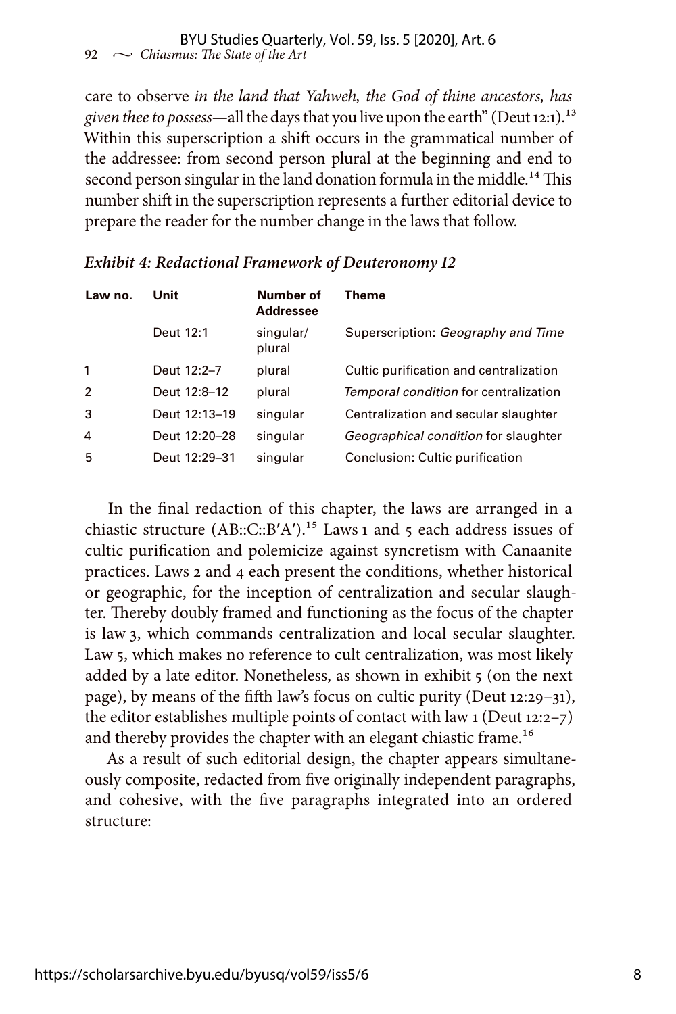care to observe *in the land that Yahweh, the God of thine ancestors, has given thee to possess*—all the days that you live upon the earth" (Deut 12:1).13 Within this superscription a shift occurs in the grammatical number of the addressee: from second person plural at the beginning and end to second person singular in the land donation formula in the middle.<sup>14</sup> This number shift in the superscription represents a further editorial device to prepare the reader for the number change in the laws that follow.

| Law no.        | Unit          | Number of<br><b>Addressee</b> | Theme                                       |
|----------------|---------------|-------------------------------|---------------------------------------------|
|                | Deut 12:1     | singular/<br>plural           | Superscription: Geography and Time          |
| 1              | Deut 12:2-7   | plural                        | Cultic purification and centralization      |
| $\overline{2}$ | Deut 12:8-12  | plural                        | Temporal condition for centralization       |
| 3              | Deut 12:13-19 | singular                      | Centralization and secular slaughter        |
| 4              | Deut 12:20-28 | singular                      | <i>Geographical condition</i> for slaughter |
| 5              | Deut 12:29-31 | singular                      | Conclusion: Cultic purification             |

#### *Exhibit 4: Redactional Framework of Deuteronomy 12*

In the final redaction of this chapter, the laws are arranged in a chiastic structure  $(AB::C::B'A')$ .<sup>15</sup> Laws 1 and 5 each address issues of cultic purification and polemicize against syncretism with Canaanite practices. Laws 2 and 4 each present the conditions, whether historical or geographic, for the inception of centralization and secular slaughter. Thereby doubly framed and functioning as the focus of the chapter is law 3, which commands centralization and local secular slaughter. Law 5, which makes no reference to cult centralization, was most likely added by a late editor. Nonetheless, as shown in exhibit 5 (on the next page), by means of the fifth law's focus on cultic purity (Deut 12:29–31), the editor establishes multiple points of contact with law 1 (Deut 12:2–7) and thereby provides the chapter with an elegant chiastic frame.<sup>16</sup>

As a result of such editorial design, the chapter appears simultaneously composite, redacted from five originally independent paragraphs, and cohesive, with the five paragraphs integrated into an ordered structure: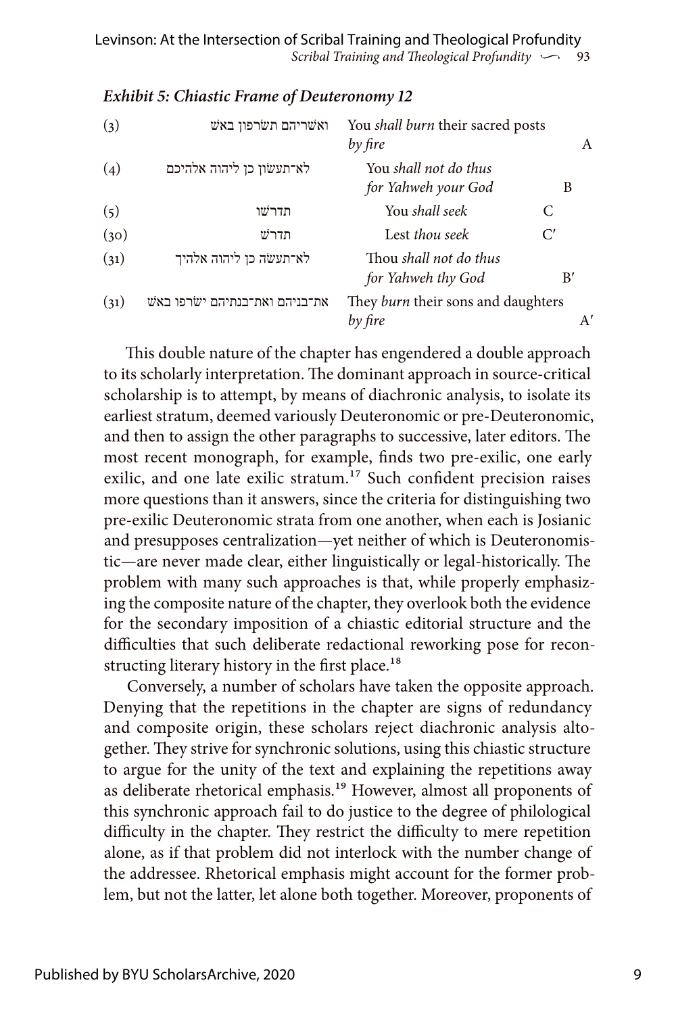| (3)  | ואשריהם תשרפון באש             | You <i>shall burn</i> their sacred posts<br>by fire | A  |
|------|--------------------------------|-----------------------------------------------------|----|
| (4)  | לא־תעשׂון כן ליהוה אלהיכם      | You shall not do thus<br>for Yahweh your God        | B  |
| (5)  | תדרשו                          | You shall seek                                      | C  |
| (30) | תדרש                           | Lest thou seek                                      | C' |
| (31) | לא־תעשה כן ליהוה אלהיך         | Thou shall not do thus<br>for Yahweh thy God        | B' |
| (31) | את־בניהם ואת־בנתיהם ישׂרפו באש | They burn their sons and daughters<br>by fire       | A' |

#### *Exhibit 5: Chiastic Frame of Deuteronomy 12*

This double nature of the chapter has engendered a double approach to its scholarly interpretation. The dominant approach in source-critical scholarship is to attempt, by means of diachronic analysis, to isolate its earliest stratum, deemed variously Deuteronomic or pre-Deuteronomic, and then to assign the other paragraphs to successive, later editors. The most recent monograph, for example, finds two pre-exilic, one early exilic, and one late exilic stratum.<sup>17</sup> Such confident precision raises more questions than it answers, since the criteria for distinguishing two pre-exilic Deuteronomic strata from one another, when each is Josianic and presupposes centralization—yet neither of which is Deuteronomistic—are never made clear, either linguistically or legal-historically. The problem with many such approaches is that, while properly emphasizing the composite nature of the chapter, they overlook both the evidence for the secondary imposition of a chiastic editorial structure and the difficulties that such deliberate redactional reworking pose for reconstructing literary history in the first place.<sup>18</sup>

Conversely, a number of scholars have taken the opposite approach. Denying that the repetitions in the chapter are signs of redundancy and composite origin, these scholars reject diachronic analysis altogether. They strive for synchronic solutions, using this chiastic structure to argue for the unity of the text and explaining the repetitions away as deliberate rhetorical emphasis.19 However, almost all proponents of this synchronic approach fail to do justice to the degree of philological difficulty in the chapter. They restrict the difficulty to mere repetition alone, as if that problem did not interlock with the number change of the addressee. Rhetorical emphasis might account for the former problem, but not the latter, let alone both together. Moreover, proponents of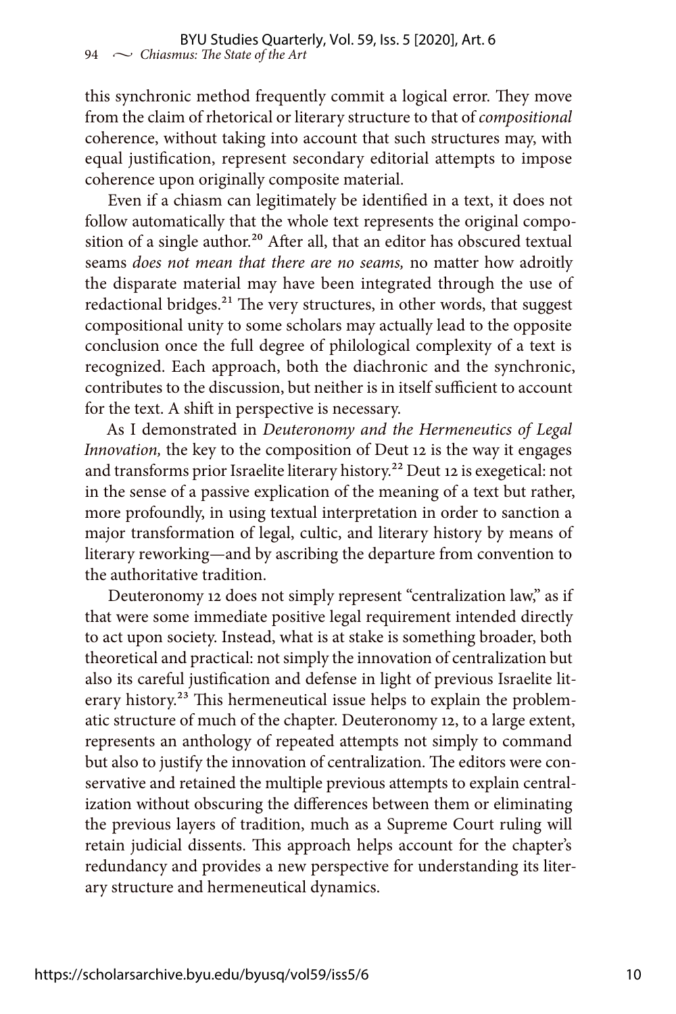this synchronic method frequently commit a logical error. They move from the claim of rhetorical or literary structure to that of *compositional* coherence, without taking into account that such structures may, with equal justification, represent secondary editorial attempts to impose coherence upon originally composite material.

Even if a chiasm can legitimately be identified in a text, it does not follow automatically that the whole text represents the original composition of a single author.<sup>20</sup> After all, that an editor has obscured textual seams *does not mean that there are no seams,* no matter how adroitly the disparate material may have been integrated through the use of redactional bridges.<sup>21</sup> The very structures, in other words, that suggest compositional unity to some scholars may actually lead to the opposite conclusion once the full degree of philological complexity of a text is recognized. Each approach, both the diachronic and the synchronic, contributes to the discussion, but neither is in itself sufficient to account for the text. A shift in perspective is necessary.

As I demonstrated in *Deuteronomy and the Hermeneutics of Legal Innovation,* the key to the composition of Deut 12 is the way it engages and transforms prior Israelite literary history.22 Deut 12 is exegetical: not in the sense of a passive explication of the meaning of a text but rather, more profoundly, in using textual interpretation in order to sanction a major transformation of legal, cultic, and literary history by means of literary reworking—and by ascribing the departure from convention to the authoritative tradition.

Deuteronomy 12 does not simply represent "centralization law," as if that were some immediate positive legal requirement intended directly to act upon society. Instead, what is at stake is something broader, both theoretical and practical: not simply the innovation of centralization but also its careful justification and defense in light of previous Israelite literary history.<sup>23</sup> This hermeneutical issue helps to explain the problematic structure of much of the chapter. Deuteronomy 12, to a large extent, represents an anthology of repeated attempts not simply to command but also to justify the innovation of centralization. The editors were conservative and retained the multiple previous attempts to explain centralization without obscuring the differences between them or eliminating the previous layers of tradition, much as a Supreme Court ruling will retain judicial dissents. This approach helps account for the chapter's redundancy and provides a new perspective for understanding its literary structure and hermeneutical dynamics.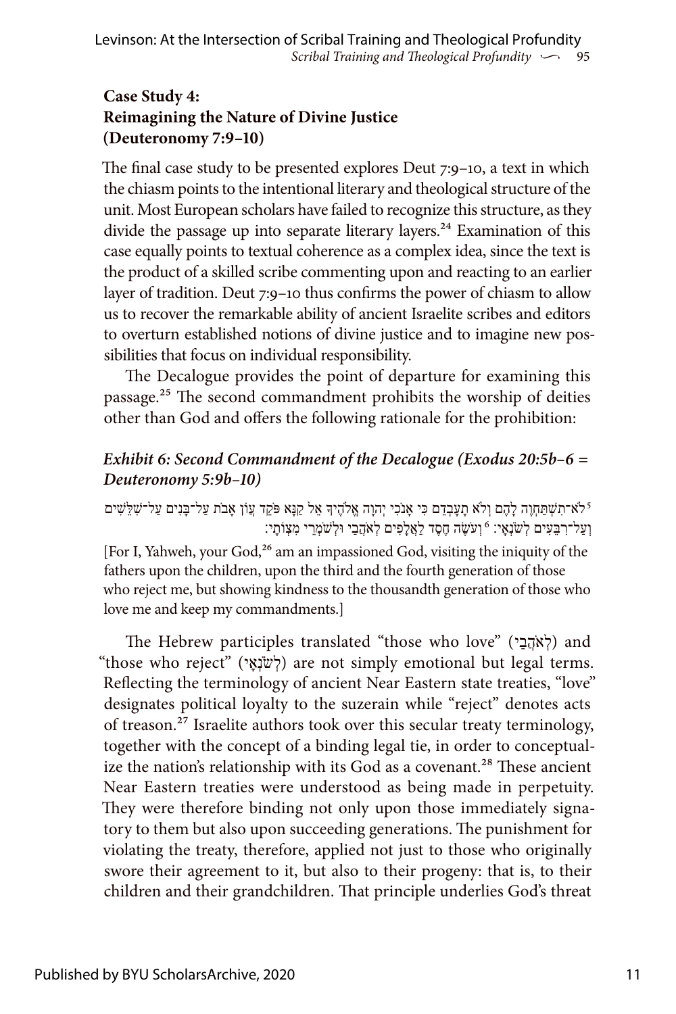### **Case Study 4: Reimagining the Nature of Divine Justice (Deuteronomy 7:9–10)**

The final case study to be presented explores Deut 7:9–10, a text in which the chiasm points to the intentional literary and theological structure of the unit. Most European scholars have failed to recognize this structure, as they divide the passage up into separate literary layers.<sup>24</sup> Examination of this case equally points to textual coherence as a complex idea, since the text is the product of a skilled scribe commenting upon and reacting to an earlier layer of tradition. Deut 7:9–10 thus confirms the power of chiasm to allow us to recover the remarkable ability of ancient Israelite scribes and editors to overturn established notions of divine justice and to imagine new possibilities that focus on individual responsibility.

The Decalogue provides the point of departure for examining this passage.25 The second commandment prohibits the worship of deities other than God and offers the following rationale for the prohibition:

#### *Exhibit 6: Second Commandment of the Decalogue (Exodus 20:5b–6 = Deuteronomy 5:9b–10)*

ֿלֹא־תִשְׁתַּחְוֶה לָהֶם וְלֹא תָעָבְדֵם כִּי אָנֹכִי יְהוָה אֱלֹהֶיךָ אֵל קַנָּא פֹּקֵד עֲוֹן אָבֹת עַל־בָּנִים עַל־שָׁלֵּשִׁים וְעַל־רְבֵּעִים לְשׂנָאַי: 6וְעֹשֶׂה חֶסֶד לַאֲלָפִים לְאֹהֲבַי וּלְשׁמְרֵי מְצָוֹתָי:

[For I, Yahweh, your God,<sup>26</sup> am an impassioned God, visiting the iniquity of the fathers upon the children, upon the third and the fourth generation of those who reject me, but showing kindness to the thousandth generation of those who love me and keep my commandments.]

The Hebrew participles translated "those who love" (לְאֹהֶבָי) and "those who reject" (לְשֹׂנְאָי) are not simply emotional but legal terms. Reflecting the terminology of ancient Near Eastern state treaties, "love" designates political loyalty to the suzerain while "reject" denotes acts of treason.27 Israelite authors took over this secular treaty terminology, together with the concept of a binding legal tie, in order to conceptualize the nation's relationship with its God as a covenant.<sup>28</sup> These ancient Near Eastern treaties were understood as being made in perpetuity. They were therefore binding not only upon those immediately signatory to them but also upon succeeding generations. The punishment for violating the treaty, therefore, applied not just to those who originally swore their agreement to it, but also to their progeny: that is, to their children and their grandchildren. That principle underlies God's threat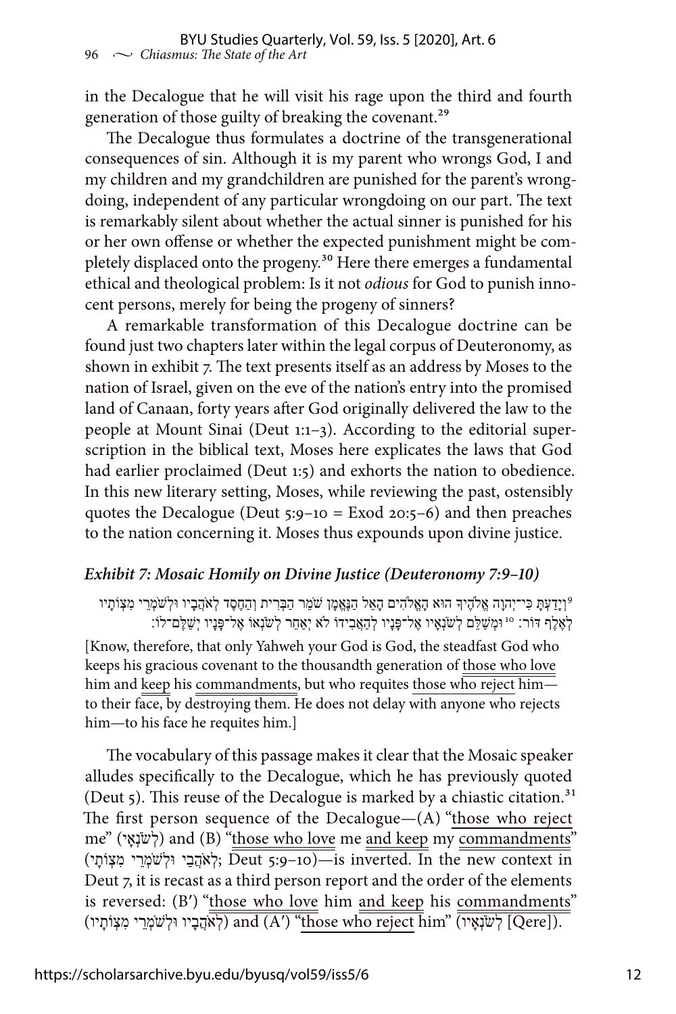in the Decalogue that he will visit his rage upon the third and fourth generation of those guilty of breaking the covenant.<sup>29</sup>

The Decalogue thus formulates a doctrine of the transgenerational consequences of sin. Although it is my parent who wrongs God, I and my children and my grandchildren are punished for the parent's wrongdoing, independent of any particular wrongdoing on our part. The text is remarkably silent about whether the actual sinner is punished for his or her own offense or whether the expected punishment might be completely displaced onto the progeny.<sup>30</sup> Here there emerges a fundamental ethical and theological problem: Is it not *odious* for God to punish innocent persons, merely for being the progeny of sinners?

A remarkable transformation of this Decalogue doctrine can be found just two chapters later within the legal corpus of Deuteronomy, as shown in exhibit 7. The text presents itself as an address by Moses to the nation of Israel, given on the eve of the nation's entry into the promised land of Canaan, forty years after God originally delivered the law to the people at Mount Sinai (Deut 1:1–3). According to the editorial superscription in the biblical text, Moses here explicates the laws that God had earlier proclaimed (Deut 1:5) and exhorts the nation to obedience. In this new literary setting, Moses, while reviewing the past, ostensibly quotes the Decalogue (Deut  $5:9-10 =$  Exod  $20:5-6$ ) and then preaches to the nation concerning it. Moses thus expounds upon divine justice.

#### *Exhibit 7: Mosaic Homily on Divine Justice (Deuteronomy 7:9–10)*

וְיָדַעְתָּ כִּי־יְהוָה אֱלֹהֶיִךָּ הוּא הָאֱלֹהִים הָאֵל הַנֶּאֱמֶן שֹׁמֵר הַבְּרִית וְהַחֶסֶד לְאֹהֲבָיו וּלְשֹׁמְרֵי מִצְוֹתָיו? לְאֶלֶף דּוֹר: <sup>10</sup> וּמְשַׁלֵּם לְשׂנְאָיו אֶל־פָּנָיו לְהַאֲבִידוֹ לֹא יְאַחֵר לְשׂנְאוֹ אֶל־פָּנָיו יְשַׁלֶּם־לוֹ:

[Know, therefore, that only Yahweh your God is God, the steadfast God who keeps his gracious covenant to the thousandth generation of those who love him and keep his commandments, but who requites those who reject himto their face, by destroying them. He does not delay with anyone who rejects him—to his face he requites him.]

The vocabulary of this passage makes it clear that the Mosaic speaker alludes specifically to the Decalogue, which he has previously quoted (Deut 5). This reuse of the Decalogue is marked by a chiastic citation.<sup>31</sup> The first person sequence of the Decalogue—(A) "those who reject me" (אָשׁׂנָאֵי) and (B) "those who love me and keep my commandments"  $\overline{D}$ eut 5:9-10)—is inverted. In the new context in Deut 7, it is recast as a third person report and the order of the elements is reversed: (B') "those who love him and keep his commandments" (לְאֹהֲבָיו וּלְשׁמְרֵי מִצְוֹתָיו) and (A') "those who reject him" (לְשֹׁמְרֵי מִצְוֹתָיו)  $[Qere]$ .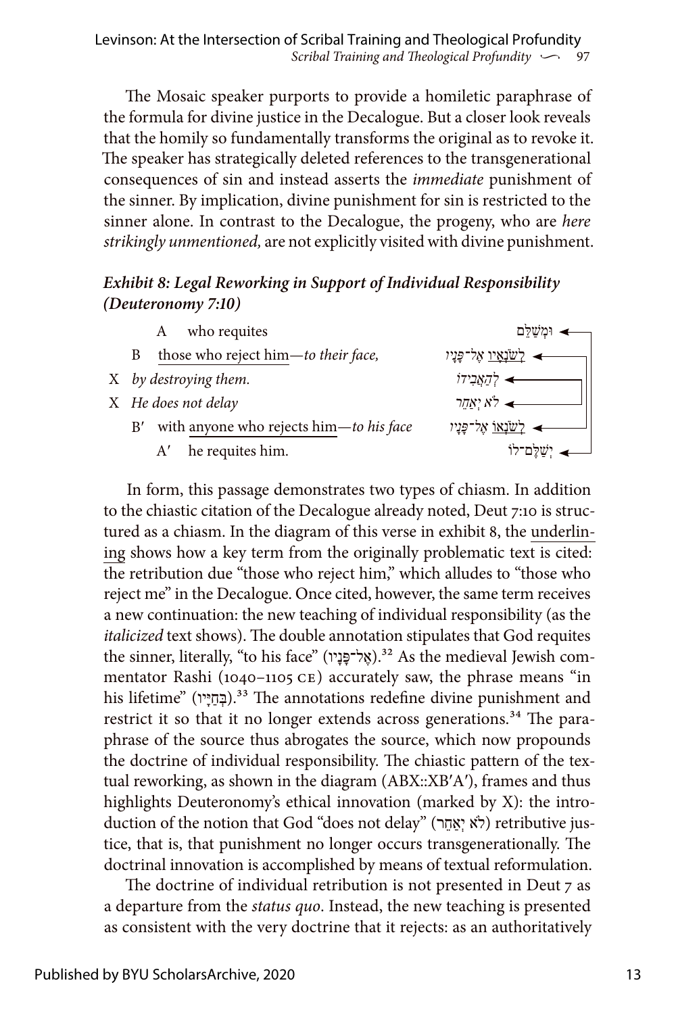*Scribal Training and Theological Profundity*  $\sim$  97 Levinson: At the Intersection of Scribal Training and Theological Profundity

The Mosaic speaker purports to provide a homiletic paraphrase of the formula for divine justice in the Decalogue. But a closer look reveals that the homily so fundamentally transforms the original as to revoke it. The speaker has strategically deleted references to the transgenerational consequences of sin and instead asserts the *immediate* punishment of the sinner. By implication, divine punishment for sin is restricted to the sinner alone. In contrast to the Decalogue, the progeny, who are *here strikingly unmentioned,* are not explicitly visited with divine punishment.

#### *Exhibit 8: Legal Reworking in Support of Individual Responsibility (Deuteronomy 7:10)*

| who requites<br>А                             | וּמִשַׁלֵּם               |
|-----------------------------------------------|---------------------------|
| those who reject him-to their face,           | <u>לשנאיו</u> אָל־פָּנָיו |
| X by destroying them.                         | דַאֲבִידוֹ≮               |
| X He does not delay                           | אַמַר $\star$             |
| with anyone who rejects him-to his face<br>B' | <u>לשׂנאו אל־פָּנִיו</u>  |
| he requites him.<br>A'                        |                           |

In form, this passage demonstrates two types of chiasm. In addition to the chiastic citation of the Decalogue already noted, Deut 7:10 is structured as a chiasm. In the diagram of this verse in exhibit 8, the underlining shows how a key term from the originally problematic text is cited: the retribution due "those who reject him," which alludes to "those who reject me" in the Decalogue. Once cited, however, the same term receives a new continuation: the new teaching of individual responsibility (as the *italicized* text shows). The double annotation stipulates that God requites the sinner, literally, "to his face" (אֱל־פֶּנָיו).<sup>32</sup> As the medieval Jewish commentator Rashi (1040–1105 CE) accurately saw, the phrase means "in his lifetime" (בְּחַיֵּין).<sup>33</sup> The annotations redefine divine punishment and restrict it so that it no longer extends across generations.<sup>34</sup> The paraphrase of the source thus abrogates the source, which now propounds the doctrine of individual responsibility. The chiastic pattern of the textual reworking, as shown in the diagram (ABX::XB′A′), frames and thus highlights Deuteronomy's ethical innovation (marked by X): the introduction of the notion that God "does not delay" (לֹא יִאֲחֶר) retributive justice, that is, that punishment no longer occurs transgenerationally. The doctrinal innovation is accomplished by means of textual reformulation.

The doctrine of individual retribution is not presented in Deut 7 as a departure from the *status quo*. Instead, the new teaching is presented as consistent with the very doctrine that it rejects: as an authoritatively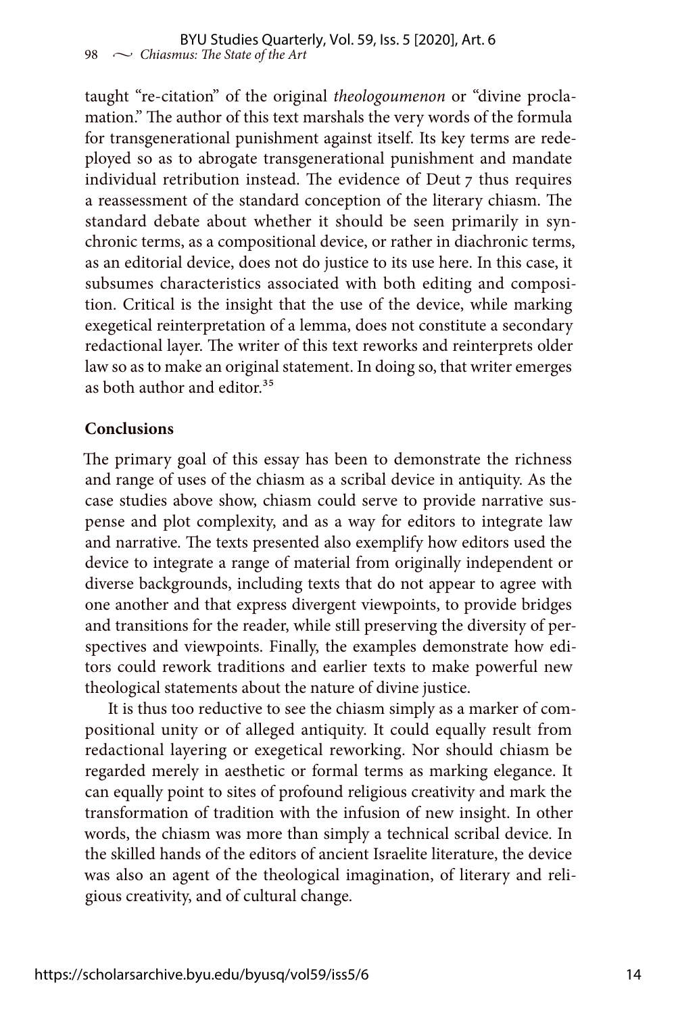taught "re-citation" of the original *theologoumenon* or "divine proclamation." The author of this text marshals the very words of the formula for transgenerational punishment against itself. Its key terms are redeployed so as to abrogate transgenerational punishment and mandate individual retribution instead. The evidence of Deut 7 thus requires a reassessment of the standard conception of the literary chiasm. The standard debate about whether it should be seen primarily in synchronic terms, as a compositional device, or rather in diachronic terms, as an editorial device, does not do justice to its use here. In this case, it subsumes characteristics associated with both editing and composition. Critical is the insight that the use of the device, while marking exegetical reinterpretation of a lemma, does not constitute a secondary redactional layer. The writer of this text reworks and reinterprets older law so as to make an original statement. In doing so, that writer emerges as both author and editor.<sup>35</sup>

#### **Conclusions**

The primary goal of this essay has been to demonstrate the richness and range of uses of the chiasm as a scribal device in antiquity. As the case studies above show, chiasm could serve to provide narrative suspense and plot complexity, and as a way for editors to integrate law and narrative. The texts presented also exemplify how editors used the device to integrate a range of material from originally independent or diverse backgrounds, including texts that do not appear to agree with one another and that express divergent viewpoints, to provide bridges and transitions for the reader, while still preserving the diversity of perspectives and viewpoints. Finally, the examples demonstrate how editors could rework traditions and earlier texts to make powerful new theological statements about the nature of divine justice.

It is thus too reductive to see the chiasm simply as a marker of compositional unity or of alleged antiquity. It could equally result from redactional layering or exegetical reworking. Nor should chiasm be regarded merely in aesthetic or formal terms as marking elegance. It can equally point to sites of profound religious creativity and mark the transformation of tradition with the infusion of new insight. In other words, the chiasm was more than simply a technical scribal device. In the skilled hands of the editors of ancient Israelite literature, the device was also an agent of the theological imagination, of literary and religious creativity, and of cultural change.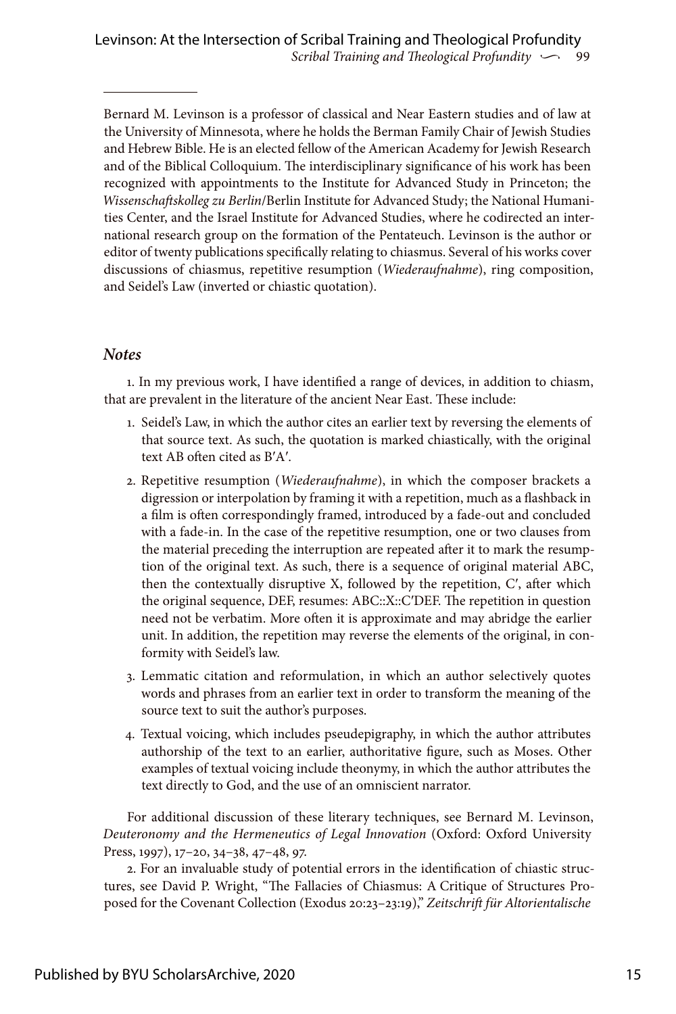Bernard M. Levinson is a professor of classical and Near Eastern studies and of law at the University of Minnesota, where he holds the Berman Family Chair of Jewish Studies and Hebrew Bible. He is an elected fellow of the American Academy for Jewish Research and of the Biblical Colloquium. The interdisciplinary significance of his work has been recognized with appointments to the Institute for Advanced Study in Princeton; the *Wissenschaftskolleg zu Berlin*/Berlin Institute for Advanced Study; the National Humanities Center, and the Israel Institute for Advanced Studies, where he codirected an international research group on the formation of the Pentateuch. Levinson is the author or editor of twenty publications specifically relating to chiasmus. Several of his works cover discussions of chiasmus, repetitive resumption (*Wiederaufnahme*), ring composition, and Seidel's Law (inverted or chiastic quotation).

#### *Notes*

1. In my previous work, I have identified a range of devices, in addition to chiasm, that are prevalent in the literature of the ancient Near East. These include:

- 1. Seidel's Law, in which the author cites an earlier text by reversing the elements of that source text. As such, the quotation is marked chiastically, with the original text AB often cited as B′A′.
- 2. Repetitive resumption (*Wiederaufnahme*), in which the composer brackets a digression or interpolation by framing it with a repetition, much as a flashback in a film is often correspondingly framed, introduced by a fade-out and concluded with a fade-in. In the case of the repetitive resumption, one or two clauses from the material preceding the interruption are repeated after it to mark the resumption of the original text. As such, there is a sequence of original material ABC, then the contextually disruptive X, followed by the repetition, Cʹ, after which the original sequence, DEF, resumes: ABC::X::CʹDEF. The repetition in question need not be verbatim. More often it is approximate and may abridge the earlier unit. In addition, the repetition may reverse the elements of the original, in conformity with Seidel's law.
- 3. Lemmatic citation and reformulation, in which an author selectively quotes words and phrases from an earlier text in order to transform the meaning of the source text to suit the author's purposes.
- 4. Textual voicing, which includes pseudepigraphy, in which the author attributes authorship of the text to an earlier, authoritative figure, such as Moses. Other examples of textual voicing include theonymy, in which the author attributes the text directly to God, and the use of an omniscient narrator.

For additional discussion of these literary techniques, see Bernard M. Levinson, *Deuteronomy and the Hermeneutics of Legal Innovation* (Oxford: Oxford University Press, 1997), 17–20, 34–38, 47–48, 97.

2. For an invaluable study of potential errors in the identification of chiastic structures, see David P. Wright, "The Fallacies of Chiasmus: A Critique of Structures Proposed for the Covenant Collection (Exodus 20:23–23:19)," *Zeitschrift für Altorientalische*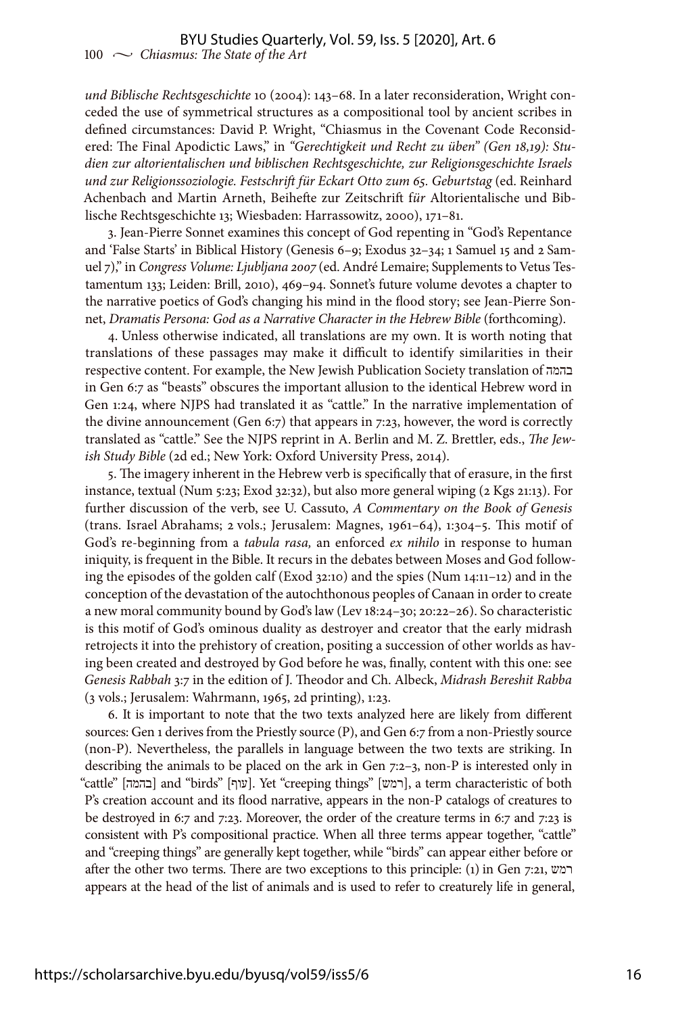*und Biblische Rechtsgeschichte* 10 (2004): 143–68. In a later reconsideration, Wright conceded the use of symmetrical structures as a compositional tool by ancient scribes in defined circumstances: David P. Wright, "Chiasmus in the Covenant Code Reconsidered: The Final Apodictic Laws," in *"Gerechtigkeit und Recht zu üben" (Gen 18,19): Studien zur altorientalischen und biblischen Rechtsgeschichte, zur Religionsgeschichte Israels und zur Religionssoziologie. Festschrift für Eckart Otto zum 65. Geburtstag* (ed. Reinhard Achenbach and Martin Arneth, Beihefte zur Zeitschrift f*ür* Altorientalische und Biblische Rechtsgeschichte 13; Wiesbaden: Harrassowitz, 2000), 171–81.

3. Jean-Pierre Sonnet examines this concept of God repenting in "God's Repentance and 'False Starts' in Biblical History (Genesis 6–9; Exodus 32–34; 1 Samuel 15 and 2 Samuel 7)," in *Congress Volume: Ljubljana 2007* (ed. André Lemaire; Supplements to Vetus Testamentum 133; Leiden: Brill, 2010), 469–94. Sonnet's future volume devotes a chapter to the narrative poetics of God's changing his mind in the flood story; see Jean-Pierre Sonnet, *Dramatis Persona: God as a Narrative Character in the Hebrew Bible* (forthcoming).

4. Unless otherwise indicated, all translations are my own. It is worth noting that translations of these passages may make it difficult to identify similarities in their respective content. For example, the New Jewish Publication Society translation of בהמה in Gen 6:7 as "beasts" obscures the important allusion to the identical Hebrew word in Gen 1:24, where NJPS had translated it as "cattle." In the narrative implementation of the divine announcement (Gen 6:7) that appears in 7:23, however, the word is correctly translated as "cattle." See the NJPS reprint in A. Berlin and M. Z. Brettler, eds., *The Jewish Study Bible* (2d ed.; New York: Oxford University Press, 2014).

5. The imagery inherent in the Hebrew verb is specifically that of erasure, in the first instance, textual (Num 5:23; Exod 32:32), but also more general wiping (2 Kgs 21:13). For further discussion of the verb, see U. Cassuto, *A Commentary on the Book of Genesis* (trans. Israel Abrahams; 2 vols.; Jerusalem: Magnes, 1961–64), 1:304–5. This motif of God's re-beginning from a *tabula rasa,* an enforced *ex nihilo* in response to human iniquity, is frequent in the Bible. It recurs in the debates between Moses and God following the episodes of the golden calf (Exod 32:10) and the spies (Num 14:11–12) and in the conception of the devastation of the autochthonous peoples of Canaan in order to create a new moral community bound by God's law (Lev 18:24–30; 20:22–26). So characteristic is this motif of God's ominous duality as destroyer and creator that the early midrash retrojects it into the prehistory of creation, positing a succession of other worlds as having been created and destroyed by God before he was, finally, content with this one: see *Genesis Rabbah* 3:7 in the edition of J. Theodor and Ch. Albeck, *Midrash Bereshit Rabba* (3 vols.; Jerusalem: Wahrmann, 1965, 2d printing), 1:23.

6. It is important to note that the two texts analyzed here are likely from different sources: Gen 1 derives from the Priestly source (P), and Gen 6:7 from a non-Priestly source (non-P). Nevertheless, the parallels in language between the two texts are striking. In describing the animals to be placed on the ark in Gen 7:2–3, non-P is interested only in "cattle" [בהמה [and "birds" [עוף[. Yet "creeping things" [רמש[, a term characteristic of both P's creation account and its flood narrative, appears in the non-P catalogs of creatures to be destroyed in 6:7 and 7:23. Moreover, the order of the creature terms in 6:7 and 7:23 is consistent with P's compositional practice. When all three terms appear together, "cattle" and "creeping things" are generally kept together, while "birds" can appear either before or after the other two terms. There are two exceptions to this principle: (1) in Gen 7:21, רמש appears at the head of the list of animals and is used to refer to creaturely life in general,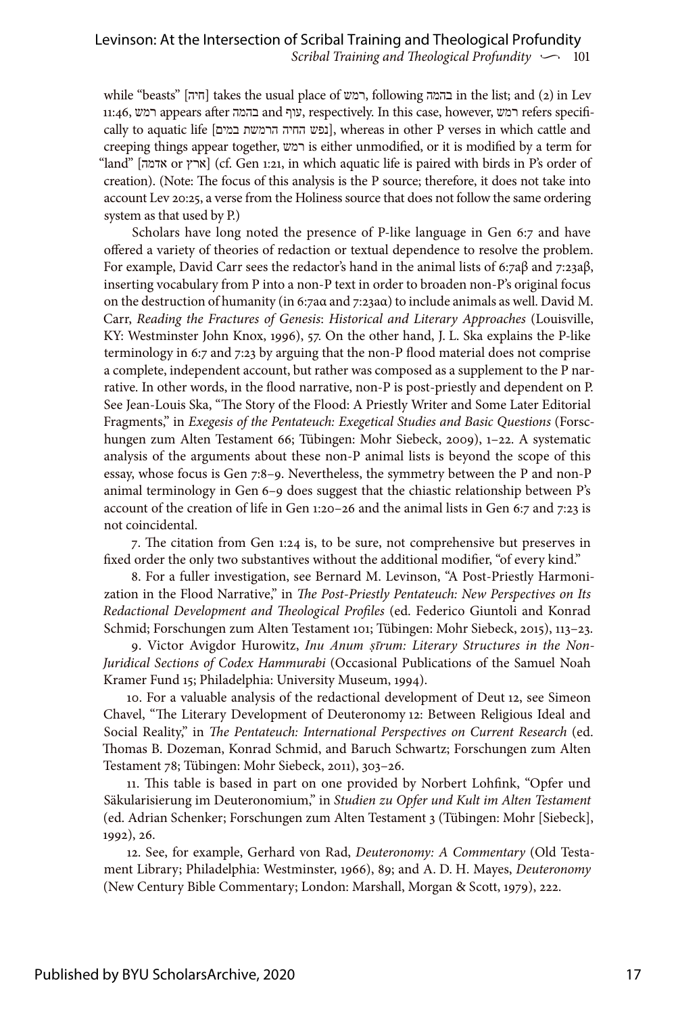while "beasts" [חיה] takes the usual place of רמש, following בהמה in the list; and (2) in Lev 11:46, רמש appears after בהמה and עוף, respectively. In this case, however, רמש refers specifically to aquatic life [כמש החיה הרמשת במים], whereas in other P verses in which cattle and creeping things appear together, רמש is either unmodified, or it is modified by a term for "land" [ארץ or אדמה] (cf. Gen 1:21, in which aquatic life is paired with birds in P's order of creation). (Note: The focus of this analysis is the P source; therefore, it does not take into account Lev 20:25, a verse from the Holiness source that does not follow the same ordering system as that used by P.)

Scholars have long noted the presence of P-like language in Gen 6:7 and have offered a variety of theories of redaction or textual dependence to resolve the problem. For example, David Carr sees the redactor's hand in the animal lists of 6:7aβ and 7:23aβ, inserting vocabulary from P into a non-P text in order to broaden non-P's original focus on the destruction of humanity (in 6:7aα and 7:23aα) to include animals as well. David M. Carr, *Reading the Fractures of Genesis*: *Historical and Literary Approaches* (Louisville, KY: Westminster John Knox, 1996), 57. On the other hand, J. L. Ska explains the P-like terminology in 6:7 and 7:23 by arguing that the non-P flood material does not comprise a complete, independent account, but rather was composed as a supplement to the P narrative. In other words, in the flood narrative, non-P is post-priestly and dependent on P. See Jean-Louis Ska, "The Story of the Flood: A Priestly Writer and Some Later Editorial Fragments," in *Exegesis of the Pentateuch: Exegetical Studies and Basic Questions* (Forschungen zum Alten Testament 66; Tübingen: Mohr Siebeck, 2009), 1–22. A systematic analysis of the arguments about these non-P animal lists is beyond the scope of this essay, whose focus is Gen 7:8–9. Nevertheless, the symmetry between the P and non-P animal terminology in Gen 6–9 does suggest that the chiastic relationship between P's account of the creation of life in Gen 1:20–26 and the animal lists in Gen 6:7 and 7:23 is not coincidental.

7. The citation from Gen 1:24 is, to be sure, not comprehensive but preserves in fixed order the only two substantives without the additional modifier, "of every kind."

8. For a fuller investigation, see Bernard M. Levinson, "A Post-Priestly Harmonization in the Flood Narrative," in *The Post-Priestly Pentateuch: New Perspectives on Its Redactional Development and Theological Profiles* (ed. Federico Giuntoli and Konrad Schmid; Forschungen zum Alten Testament 101; Tübingen: Mohr Siebeck, 2015), 113–23.

9. Victor Avigdor Hurowitz, *Inu Anum ṣīrum: Literary Structures in the Non-Juridical Sections of Codex Hammurabi* (Occasional Publications of the Samuel Noah Kramer Fund 15; Philadelphia: University Museum, 1994).

10. For a valuable analysis of the redactional development of Deut 12, see Simeon Chavel, "The Literary Development of Deuteronomy 12: Between Religious Ideal and Social Reality," in *The Pentateuch: International Perspectives on Current Research* (ed. Thomas B. Dozeman, Konrad Schmid, and Baruch Schwartz; Forschungen zum Alten Testament 78; Tübingen: Mohr Siebeck, 2011), 303–26.

11. This table is based in part on one provided by Norbert Lohfink, "Opfer und Säkularisierung im Deuteronomium," in *Studien zu Opfer und Kult im Alten Testament* (ed. Adrian Schenker; Forschungen zum Alten Testament 3 (Tübingen: Mohr [Siebeck], 1992), 26.

12. See, for example, Gerhard von Rad, *Deuteronomy: A Commentary* (Old Testament Library; Philadelphia: Westminster, 1966), 89; and A. D. H. Mayes, *Deuteronomy* (New Century Bible Commentary; London: Marshall, Morgan & Scott, 1979), 222.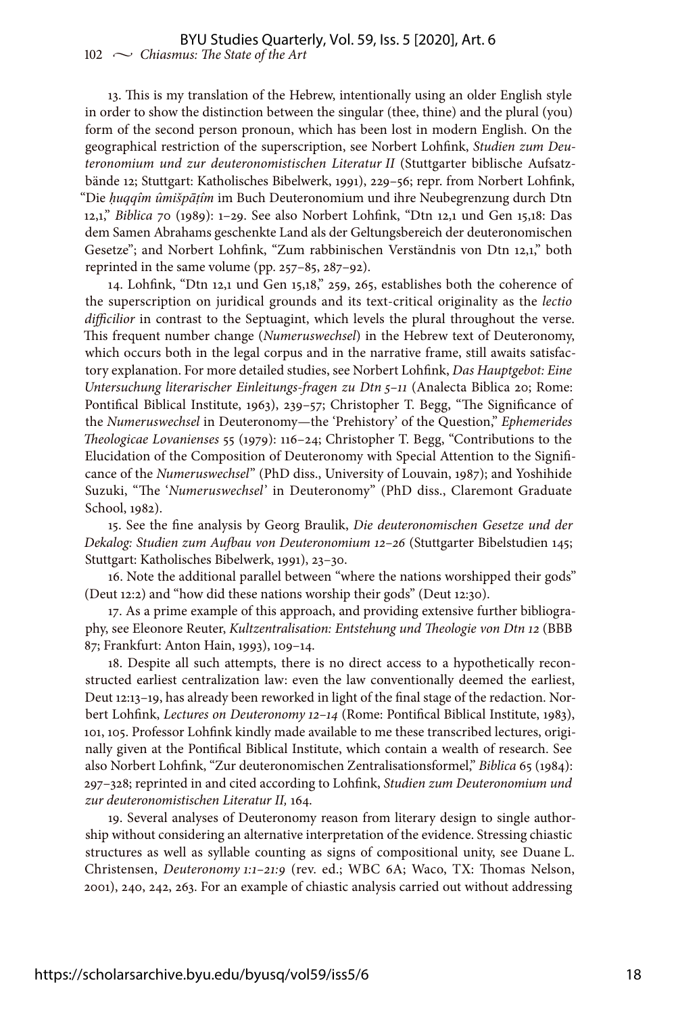13. This is my translation of the Hebrew, intentionally using an older English style in order to show the distinction between the singular (thee, thine) and the plural (you) form of the second person pronoun, which has been lost in modern English. On the geographical restriction of the superscription, see Norbert Lohfink, *Studien zum Deuteronomium und zur deuteronomistischen Literatur II* (Stuttgarter biblische Aufsatzbände 12; Stuttgart: Katholisches Bibelwerk, 1991), 229–56; repr. from Norbert Lohfink, "Die *ḥuqqîm ûmišpāṭîm* im Buch Deuteronomium und ihre Neubegrenzung durch Dtn 12,1," *Biblica* 70 (1989): 1–29. See also Norbert Lohfink, "Dtn 12,1 und Gen 15,18: Das dem Samen Abrahams geschenkte Land als der Geltungsbereich der deuteronomischen Gesetze"; and Norbert Lohfink, "Zum rabbinischen Verständnis von Dtn 12,1," both reprinted in the same volume (pp. 257–85, 287–92).

14. Lohfink, "Dtn 12,1 und Gen 15,18," 259, 265, establishes both the coherence of the superscription on juridical grounds and its text-critical originality as the *lectio difficilior* in contrast to the Septuagint, which levels the plural throughout the verse. This frequent number change (*Numeruswechsel*) in the Hebrew text of Deuteronomy, which occurs both in the legal corpus and in the narrative frame, still awaits satisfactory explanation. For more detailed studies, see Norbert Lohfink, *Das Hauptgebot: Eine Untersuchung literarischer Einleitungs-fragen zu Dtn 5–11* (Analecta Biblica 20; Rome: Pontifical Biblical Institute, 1963), 239–57; Christopher T. Begg, "The Significance of the *Numeruswechsel* in Deuteronomy—the 'Prehistory' of the Question," *Ephemerides Theologicae Lovanienses* 55 (1979): 116–24; Christopher T. Begg, "Contributions to the Elucidation of the Composition of Deuteronomy with Special Attention to the Significance of the *Numeruswechsel*" (PhD diss., University of Louvain, 1987); and Yoshihide Suzuki, "The '*Numeruswechsel*' in Deuteronomy" (PhD diss., Claremont Graduate School, 1982).

15. See the fine analysis by Georg Braulik, *Die deuteronomischen Gesetze und der Dekalog: Studien zum Aufbau von Deuteronomium 12–26* (Stuttgarter Bibelstudien 145; Stuttgart: Katholisches Bibelwerk, 1991), 23–30.

16. Note the additional parallel between "where the nations worshipped their gods" (Deut 12:2) and "how did these nations worship their gods" (Deut 12:30).

17. As a prime example of this approach, and providing extensive further bibliography, see Eleonore Reuter, *Kultzentralisation: Entstehung und Theologie von Dtn 12* (BBB 87; Frankfurt: Anton Hain, 1993), 109–14.

18. Despite all such attempts, there is no direct access to a hypothetically reconstructed earliest centralization law: even the law conventionally deemed the earliest, Deut 12:13–19, has already been reworked in light of the final stage of the redaction. Norbert Lohfink, *Lectures on Deuteronomy 12–14* (Rome: Pontifical Biblical Institute, 1983), 101, 105. Professor Lohfink kindly made available to me these transcribed lectures, originally given at the Pontifical Biblical Institute, which contain a wealth of research. See also Norbert Lohfink, "Zur deuteronomischen Zentralisationsformel," *Biblica* 65 (1984): 297–328; reprinted in and cited according to Lohfink, *Studien zum Deuteronomium und zur deuteronomistischen Literatur II,* 164.

19. Several analyses of Deuteronomy reason from literary design to single authorship without considering an alternative interpretation of the evidence. Stressing chiastic structures as well as syllable counting as signs of compositional unity, see Duane L. Christensen, *Deuteronomy 1:1–21:9* (rev. ed.; WBC 6A; Waco, TX: Thomas Nelson, 2001), 240, 242, 263. For an example of chiastic analysis carried out without addressing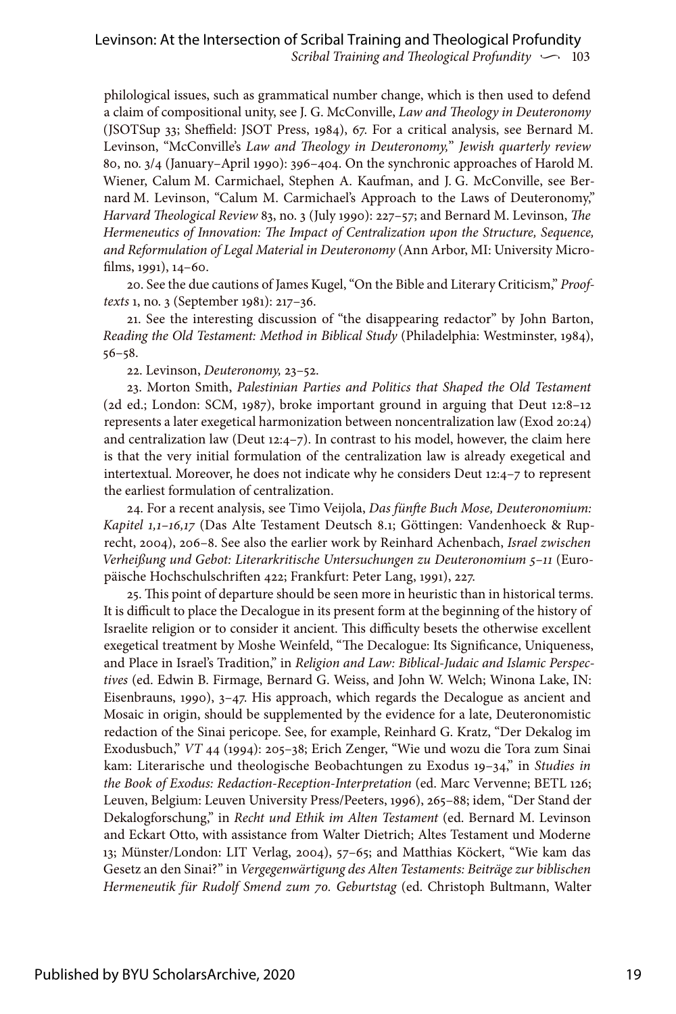philological issues, such as grammatical number change, which is then used to defend a claim of compositional unity, see J. G. McConville, *Law and Theology in Deuteronomy* (JSOTSup 33; Sheffield: JSOT Press, 1984), 67. For a critical analysis, see Bernard M. Levinson, "McConville's *Law and Theology in Deuteronomy,*" *Jewish quarterly review* 80, no. 3/4 (January–April 1990): 396–404. On the synchronic approaches of Harold M. Wiener, Calum M. Carmichael, Stephen A. Kaufman, and J. G. McConville, see Bernard M. Levinson, "Calum M. Carmichael's Approach to the Laws of Deuteronomy," *Harvard Theological Review* 83, no. 3 (July 1990): 227–57; and Bernard M. Levinson, *The Hermeneutics of Innovation: The Impact of Centralization upon the Structure, Sequence, and Reformulation of Legal Material in Deuteronomy* (Ann Arbor, MI: University Microfilms, 1991), 14–60.

20. See the due cautions of James Kugel, "On the Bible and Literary Criticism," *Prooftexts* 1, no. 3 (September 1981): 217–36.

21. See the interesting discussion of "the disappearing redactor" by John Barton, *Reading the Old Testament: Method in Biblical Study* (Philadelphia: Westminster, 1984), 56–58.

22. Levinson, *Deuteronomy,* 23–52.

23. Morton Smith, *Palestinian Parties and Politics that Shaped the Old Testament* (2d ed.; London: SCM, 1987), broke important ground in arguing that Deut 12:8–12 represents a later exegetical harmonization between noncentralization law (Exod 20:24) and centralization law (Deut  $12:4-7$ ). In contrast to his model, however, the claim here is that the very initial formulation of the centralization law is already exegetical and intertextual. Moreover, he does not indicate why he considers Deut 12:4–7 to represent the earliest formulation of centralization.

24. For a recent analysis, see Timo Veijola, *Das fünfte Buch Mose, Deuteronomium: Kapitel 1,1–16,17* (Das Alte Testament Deutsch 8.1; Göttingen: Vandenhoeck & Ruprecht, 2004), 206–8. See also the earlier work by Reinhard Achenbach, *Israel zwischen Verheißung und Gebot: Literarkritische Untersuchungen zu Deuteronomium 5–11* (Europäische Hochschulschriften 422; Frankfurt: Peter Lang, 1991), 227.

25. This point of departure should be seen more in heuristic than in historical terms. It is difficult to place the Decalogue in its present form at the beginning of the history of Israelite religion or to consider it ancient. This difficulty besets the otherwise excellent exegetical treatment by Moshe Weinfeld, "The Decalogue: Its Significance, Uniqueness, and Place in Israel's Tradition," in *Religion and Law: Biblical-Judaic and Islamic Perspectives* (ed. Edwin B. Firmage, Bernard G. Weiss, and John W. Welch; Winona Lake, IN: Eisenbrauns, 1990), 3–47. His approach, which regards the Decalogue as ancient and Mosaic in origin, should be supplemented by the evidence for a late, Deuteronomistic redaction of the Sinai pericope. See, for example, Reinhard G. Kratz, "Der Dekalog im Exodusbuch," *VT* 44 (1994): 205–38; Erich Zenger, "Wie und wozu die Tora zum Sinai kam: Literarische und theologische Beobachtungen zu Exodus 19–34," in *Studies in the Book of Exodus: Redaction-Reception-Interpretation* (ed. Marc Vervenne; BETL 126; Leuven, Belgium: Leuven University Press/Peeters, 1996), 265–88; idem, "Der Stand der Dekalogforschung," in *Recht und Ethik im Alten Testament* (ed. Bernard M. Levinson and Eckart Otto, with assistance from Walter Dietrich; Altes Testament und Moderne 13; Münster/London: LIT Verlag, 2004), 57–65; and Matthias Köckert, "Wie kam das Gesetz an den Sinai?" in *Vergegenwärtigung des Alten Testaments: Beiträge zur biblischen Hermeneutik für Rudolf Smend zum 70. Geburtstag* (ed. Christoph Bultmann, Walter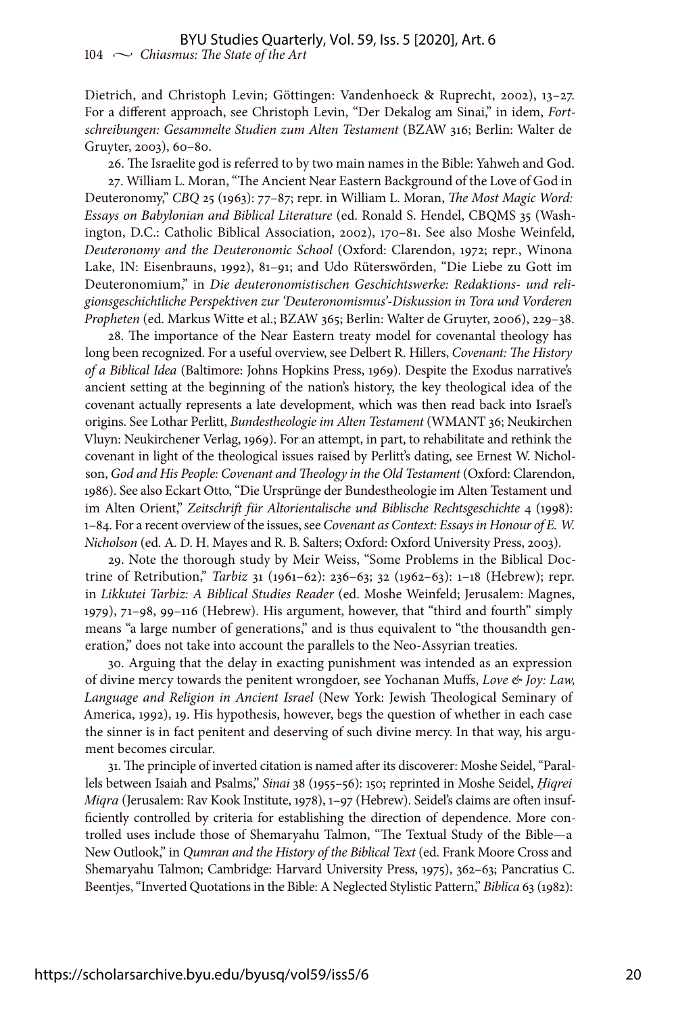Dietrich, and Christoph Levin; Göttingen: Vandenhoeck & Ruprecht, 2002), 13–27. For a different approach, see Christoph Levin, "Der Dekalog am Sinai," in idem, *Fortschreibungen: Gesammelte Studien zum Alten Testament* (BZAW 316; Berlin: Walter de Gruyter, 2003), 60–80.

26. The Israelite god is referred to by two main names in the Bible: Yahweh and God.

27. William L. Moran, "The Ancient Near Eastern Background of the Love of God in Deuteronomy," *CBQ* 25 (1963): 77–87; repr. in William L. Moran, *The Most Magic Word: Essays on Babylonian and Biblical Literature* (ed. Ronald S. Hendel, CBQMS 35 (Washington, D.C.: Catholic Biblical Association, 2002), 170–81. See also Moshe Weinfeld, *Deuteronomy and the Deuteronomic School* (Oxford: Clarendon, 1972; repr., Winona Lake, IN: Eisenbrauns, 1992), 81–91; and Udo Rüterswörden, "Die Liebe zu Gott im Deuteronomium," in *Die deuteronomistischen Geschichtswerke: Redaktions- und religionsgeschichtliche Perspektiven zur 'Deuteronomismus'-Diskussion in Tora und Vorderen Propheten* (ed. Markus Witte et al.; BZAW 365; Berlin: Walter de Gruyter, 2006), 229–38.

28. The importance of the Near Eastern treaty model for covenantal theology has long been recognized. For a useful overview, see Delbert R. Hillers, *Covenant: The History of a Biblical Idea* (Baltimore: Johns Hopkins Press, 1969). Despite the Exodus narrative's ancient setting at the beginning of the nation's history, the key theological idea of the covenant actually represents a late development, which was then read back into Israel's origins. See Lothar Perlitt, *Bundestheologie im Alten Testament* (WMANT 36; Neukirchen Vluyn: Neukirchener Verlag, 1969). For an attempt, in part, to rehabilitate and rethink the covenant in light of the theological issues raised by Perlitt's dating, see Ernest W. Nicholson, *God and His People: Covenant and Theology in the Old Testament* (Oxford: Clarendon, 1986). See also Eckart Otto, "Die Ursprünge der Bundestheologie im Alten Testament und im Alten Orient," *Zeitschrift für Altorientalische und Biblische Rechtsgeschichte* 4 (1998): 1–84. For a recent overview of the issues, see *Covenant as Context: Essays in Honour of E. W. Nicholson* (ed. A. D. H. Mayes and R. B. Salters; Oxford: Oxford University Press, 2003).

29. Note the thorough study by Meir Weiss, "Some Problems in the Biblical Doctrine of Retribution," *Tarbiz* 31 (1961–62): 236–63; 32 (1962–63): 1–18 (Hebrew); repr. in *Likkutei Tarbiz: A Biblical Studies Reader* (ed. Moshe Weinfeld; Jerusalem: Magnes, 1979), 71–98, 99–116 (Hebrew). His argument, however, that "third and fourth" simply means "a large number of generations," and is thus equivalent to "the thousandth generation," does not take into account the parallels to the Neo-Assyrian treaties.

30. Arguing that the delay in exacting punishment was intended as an expression of divine mercy towards the penitent wrongdoer, see Yochanan Muffs, *Love & Joy: Law, Language and Religion in Ancient Israel* (New York: Jewish Theological Seminary of America, 1992), 19. His hypothesis, however, begs the question of whether in each case the sinner is in fact penitent and deserving of such divine mercy. In that way, his argument becomes circular.

31. The principle of inverted citation is named after its discoverer: Moshe Seidel, "Parallels between Isaiah and Psalms," *Sinai* 38 (1955–56): 150; reprinted in Moshe Seidel, *Ḥiqrei Miqra* (Jerusalem: Rav Kook Institute, 1978), 1–97 (Hebrew). Seidel's claims are often insufficiently controlled by criteria for establishing the direction of dependence. More controlled uses include those of Shemaryahu Talmon, "The Textual Study of the Bible—a New Outlook," in *Qumran and the History of the Biblical Text* (ed. Frank Moore Cross and Shemaryahu Talmon; Cambridge: Harvard University Press, 1975), 362–63; Pancratius C. Beentjes, "Inverted Quotations in the Bible: A Neglected Stylistic Pattern," *Biblica* 63 (1982):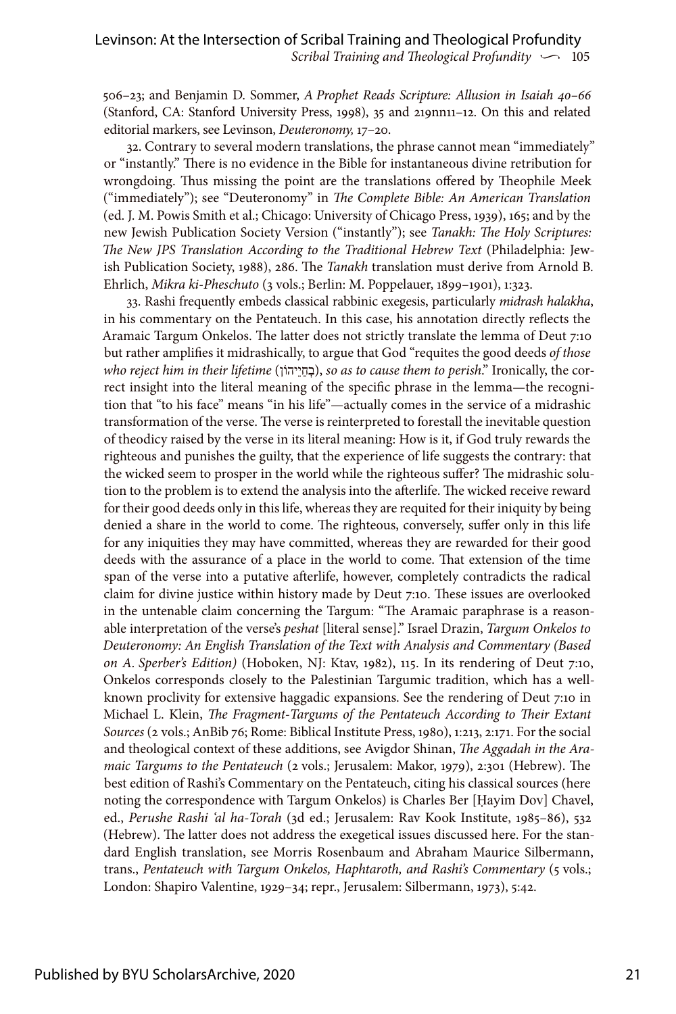506–23; and Benjamin D. Sommer, *A Prophet Reads Scripture: Allusion in Isaiah 40–66*  (Stanford, CA: Stanford University Press, 1998), 35 and 219nn11–12. On this and related editorial markers, see Levinson, *Deuteronomy,* 17–20.

32. Contrary to several modern translations, the phrase cannot mean "immediately" or "instantly." There is no evidence in the Bible for instantaneous divine retribution for wrongdoing. Thus missing the point are the translations offered by Theophile Meek ("immediately"); see "Deuteronomy" in *The Complete Bible: An American Translation* (ed. J. M. Powis Smith et al.; Chicago: University of Chicago Press, 1939), 165; and by the new Jewish Publication Society Version ("instantly"); see *Tanakh: The Holy Scriptures: The New JPS Translation According to the Traditional Hebrew Text* (Philadelphia: Jewish Publication Society, 1988), 286. The *Tanakh* translation must derive from Arnold B. Ehrlich, *Mikra ki-Pheschuto* (3 vols.; Berlin: M. Poppelauer, 1899–1901), 1:323.

33. Rashi frequently embeds classical rabbinic exegesis, particularly *midrash halakha*, in his commentary on the Pentateuch. In this case, his annotation directly reflects the Aramaic Targum Onkelos. The latter does not strictly translate the lemma of Deut 7:10 but rather amplifies it midrashically, to argue that God "requites the good deeds *of those who reject him in their lifetime* (וןֹיהֵיַחְב(, *so as to cause them to perish*." Ironically, the correct insight into the literal meaning of the specific phrase in the lemma—the recognition that "to his face" means "in his life"—actually comes in the service of a midrashic transformation of the verse. The verse is reinterpreted to forestall the inevitable question of theodicy raised by the verse in its literal meaning: How is it, if God truly rewards the righteous and punishes the guilty, that the experience of life suggests the contrary: that the wicked seem to prosper in the world while the righteous suffer? The midrashic solution to the problem is to extend the analysis into the afterlife. The wicked receive reward for their good deeds only in this life, whereas they are requited for their iniquity by being denied a share in the world to come. The righteous, conversely, suffer only in this life for any iniquities they may have committed, whereas they are rewarded for their good deeds with the assurance of a place in the world to come. That extension of the time span of the verse into a putative afterlife, however, completely contradicts the radical claim for divine justice within history made by Deut 7:10. These issues are overlooked in the untenable claim concerning the Targum: "The Aramaic paraphrase is a reasonable interpretation of the verse's *peshat* [literal sense]." Israel Drazin, *Targum Onkelos to Deuteronomy: An English Translation of the Text with Analysis and Commentary (Based on A. Sperber's Edition)* (Hoboken, NJ: Ktav, 1982), 115. In its rendering of Deut 7:10, Onkelos corresponds closely to the Palestinian Targumic tradition, which has a wellknown proclivity for extensive haggadic expansions. See the rendering of Deut 7:10 in Michael L. Klein, *The Fragment-Targums of the Pentateuch According to Their Extant Sources* (2 vols.; AnBib 76; Rome: Biblical Institute Press, 1980), 1:213, 2:171. For the social and theological context of these additions, see Avigdor Shinan, *The Aggadah in the Aramaic Targums to the Pentateuch* (2 vols.; Jerusalem: Makor, 1979), 2:301 (Hebrew). The best edition of Rashi's Commentary on the Pentateuch, citing his classical sources (here noting the correspondence with Targum Onkelos) is Charles Ber [Ḥayim Dov] Chavel, ed., *Perushe Rashi 'al ha-Torah* (3d ed.; Jerusalem: Rav Kook Institute, 1985–86), 532 (Hebrew). The latter does not address the exegetical issues discussed here. For the standard English translation, see Morris Rosenbaum and Abraham Maurice Silbermann, trans., *Pentateuch with Targum Onkelos, Haphtaroth, and Rashi's Commentary* (5 vols.; London: Shapiro Valentine, 1929–34; repr., Jerusalem: Silbermann, 1973), 5:42.